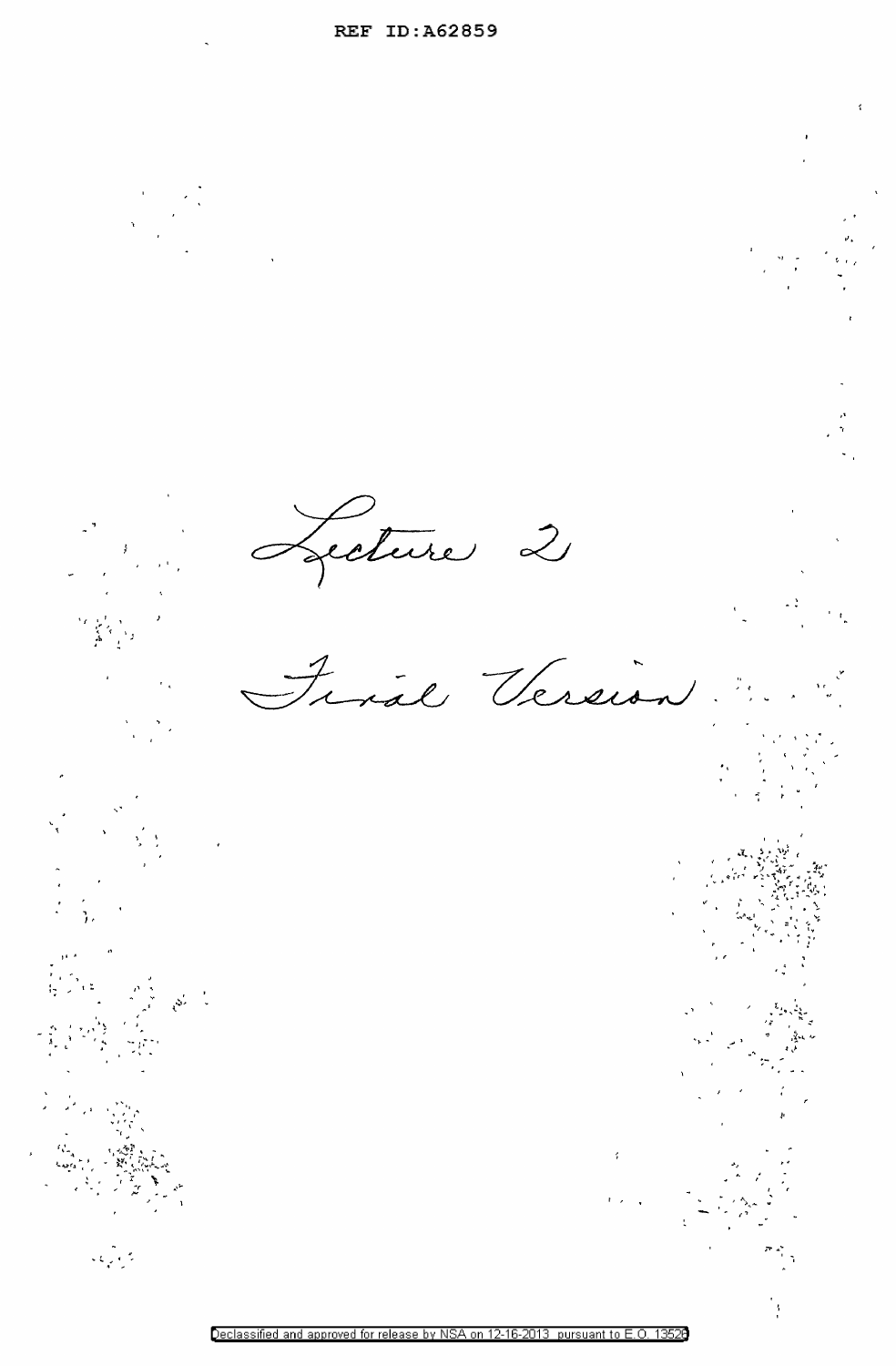Lecture 2 Final Version  $\begin{array}{c} \mathcal{P} \left( \mathcal{L} \right) \\ \mathcal{P} \left( \mathcal{L} \right) \\ \mathcal{L} \left( \mathcal{L} \right) \\ \mathcal{L} \left( \mathcal{L} \right) \end{array}$ 

 $\frac{1}{2}$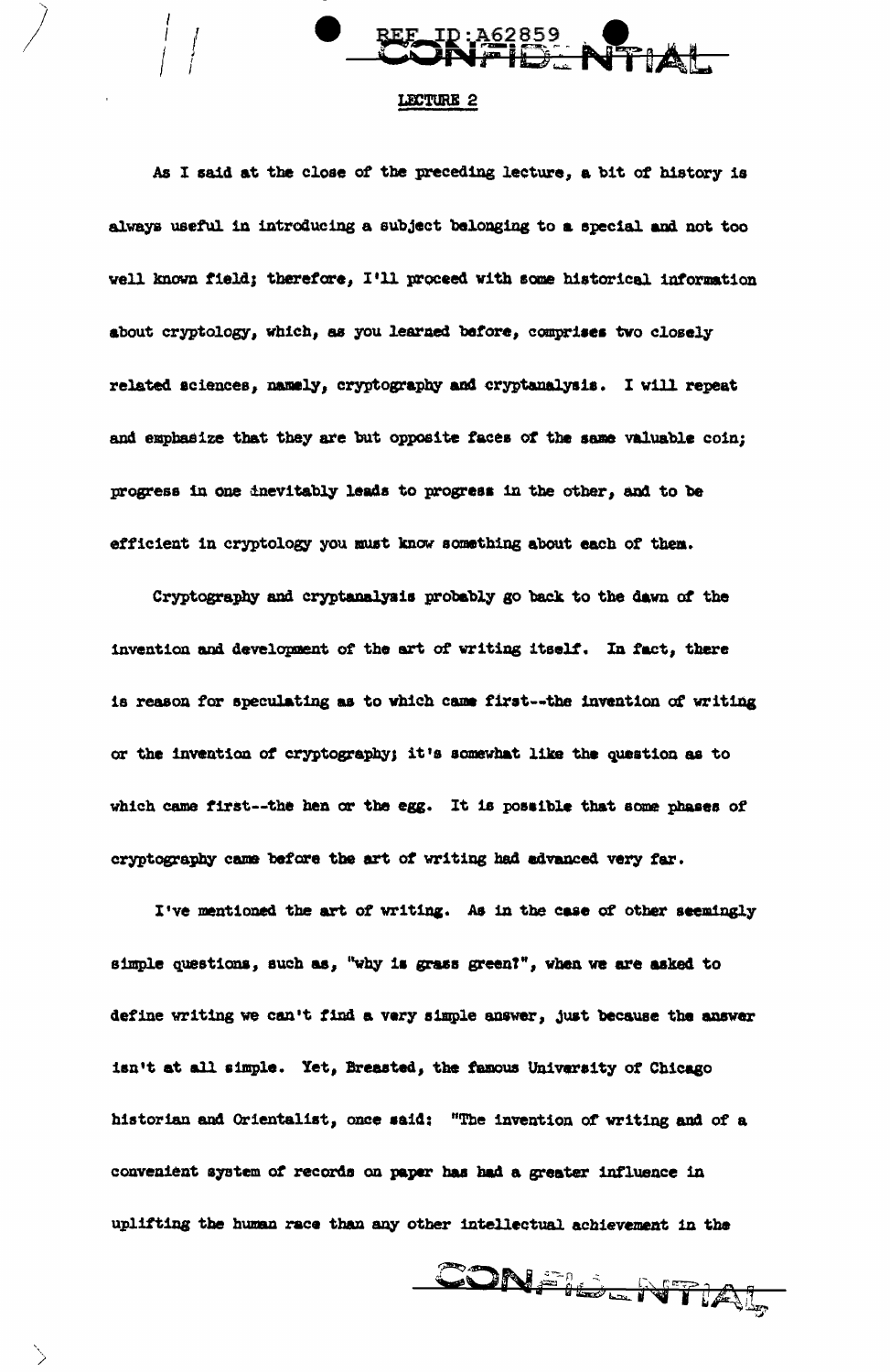

## LECTURE 2

As I said at the close of the preceding lecture, a bit of history is always useful in introducing a subject belonging to a special and not too well known field; therefore, I'll proceed with some historical information about cryptology, which, as you learned before, comprises two closely related sciences, namely, cryptography and cryptanalysis. I will repeat and emphasize that they are but opposite faces of the same valuable coin; progress in one inevitably leads to progress in the other, and to be efficient in cryptology you must know something about each of them.

Cryptography and cryptanalysis probably go back to the dawn of the invention and development of the art of writing itself. In fact, there is reason for speculating as to which came first--the invention of writing or the invention of cryptography; it's somewhat like the question as to which came first--the hen or the egg. It is possible that some phases of cryptography came before the art of writing had advanced very far.

I've mentioned the art of writing. As in the case of other seemingly simple questions, such as, "why is grass green?", when we are asked to define writing we can't find a very simple answer, just because the answer isn't at all simple. Yet, Breasted, the famous University of Chicago historian and Orientalist, once said: "The invention of writing and of a convenient system of records on paper has had a greater influence in uplifting the human race than any other intellectual achievement in the

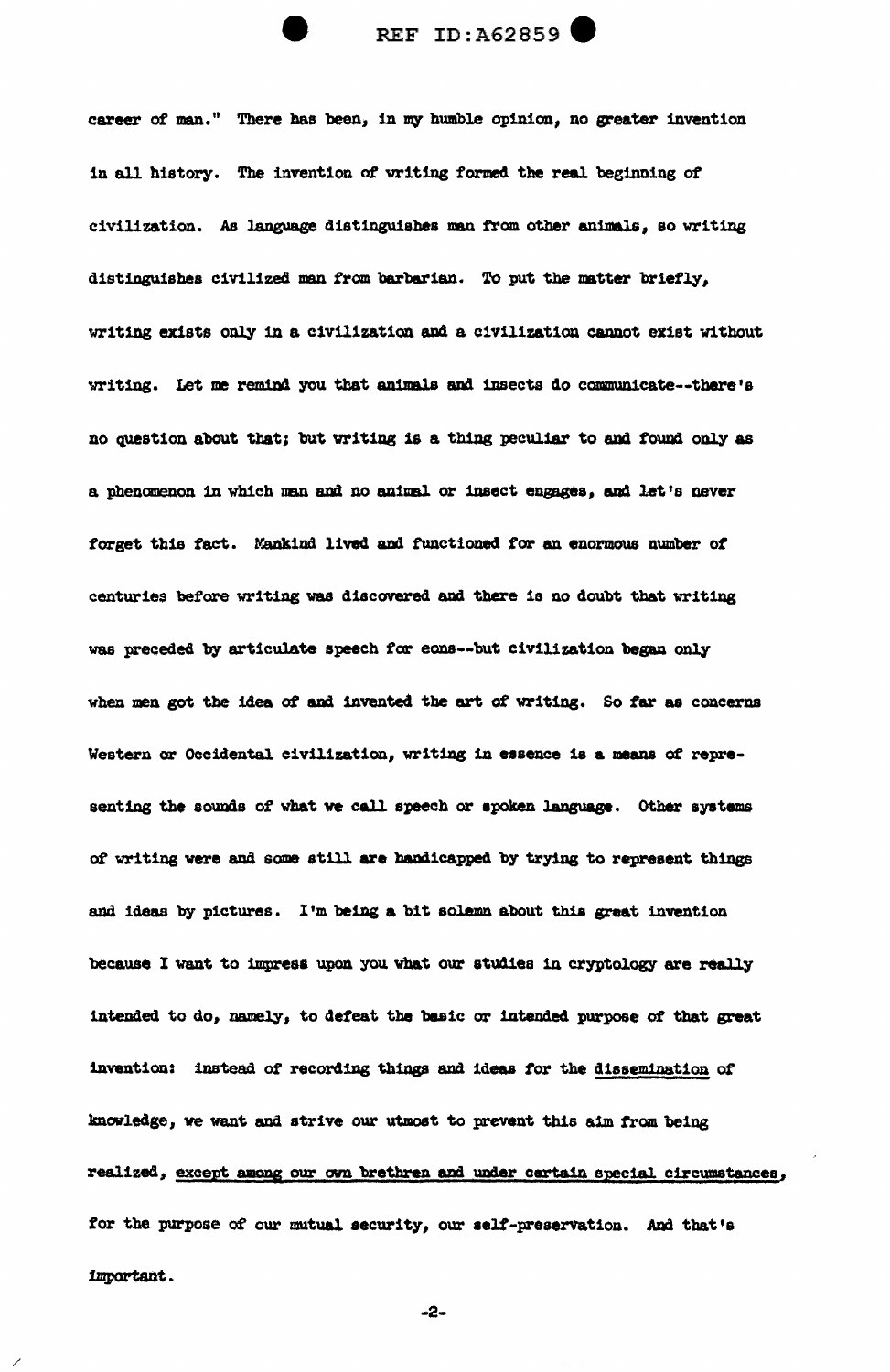career of man." There has been, in my humble opinion, no greater invention in all history. The invention of writing formed the real beginning of civilization. As language distinguishes man from other animals, so writing distinguishes civilized man from barbarian. To put the matter briefly, writing exists only in a civilization and a civilization cannot exist without writing. Let me remind you that animals and insects do communicate--there's no question about that; but writing is a thing peculiar to and found only as a phenomenon in which man and no animal or insect engages, and let's never forget this fact. Mankind lived and functioned for an enormous number of centuries before writing was discovered and there is no doubt that writing was preceded by articulate speech for eons--but civilization began only when men got the idea of and invented the art of writing. So far as concerns Western or Occidental civilization, writing in essence is a means of representing the sounds of what we call speech or spoken language. Other systems of writing were and some still are handicapped by trying to represent things and ideas by pictures. I'm being a bit solemn about this great invention because I want to impress upon you what our studies in cryptology are really intended to do, namely, to defeat the basic or intended purpose of that great invention: instead of recording things and ideas for the dissemination of knowledge, we want and strive our utmost to prevent this aim from being realized, except among our own brethren and under certain special circumstances, for the purpose of our mutual security, our self-preservation. And that's important.

-2-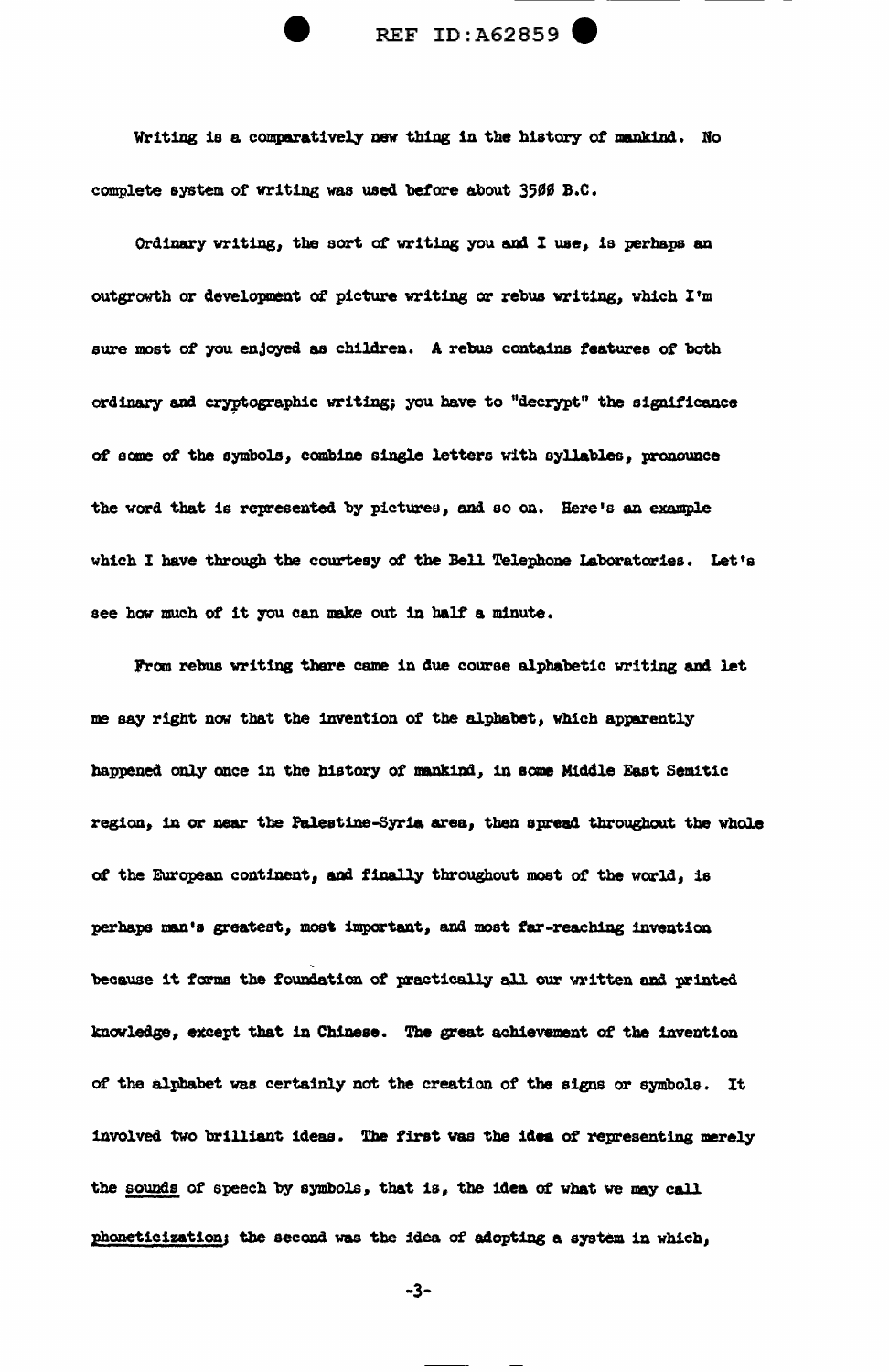Writing is a comparatively new thing in the history of mankind. No complete system of writing was used before about 3500 B.C.

Ordinary writing, the sort of writing you and I use, is perhaps an outgrowth or development of picture writing or rebus writing, which I'm sure most of you enjoyed as children. A rebus contains features of both ordinary and cryptographic writing; you have to "decrypt" the significance of some of the symbols, combine single letters with syllables, pronounce the word that is represented by picturea, and so on. Here's an example which I have through the courtesy of the Bell Telephone Laboratories. Let's see how much of it you can make out in half a minute.

From rebus writing there came in due course alphabetic writing and let me say right now that the invention of the alphabet, which apparently happened only once in the history of mankind, in some Middle East Semitic region, in or near the Palestine-Syria area, then spread throughout the whole of the European continent, and finally throughout most of the world, is perhaps man's greatest, most important, and most far-reaching invention because it forms the foundation of practically all our written and printed knowledge, except that in Chinese. The great achievement of the invention of the alphabet was. certainly not the creation of the signs or symbols. It involved two brilliant ideas. The first was the idea of representing merely the sounds of speech by symbols, that is, the idea of what we may call phoneticization; the second was the idea of adopting a system in which,

-3-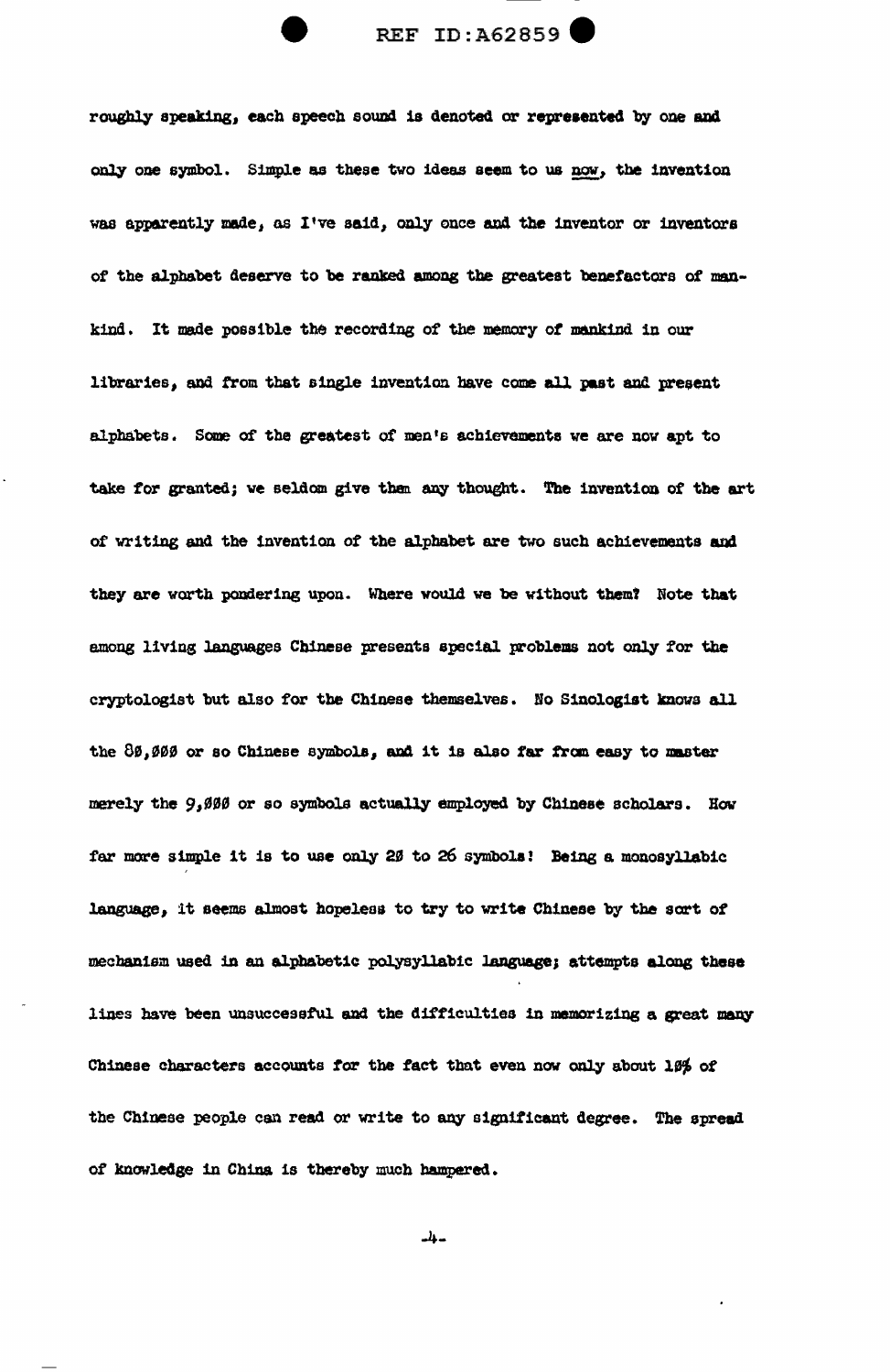

roughly speaking, each speech sound is denoted or represented by one and only one symbol. Simple as these two ideas seem to us now, the invention was apparently made, as I've said, only once and the inventor or inventors of the alphabet deserve to be ranked among the greatest benefactors of mankind. It made possible the recording of the memory of mankind in our libraries, and from that single invention have come all past and present alphabets. Some of the greatest of men's achievements we are now apt to take for granted; we seldom give than any thought. The invention of the art of writing and the invention of the alphabet are two such achievements am they are worth pondering upon. Where would we be without themt Note that among living languages Chinese presents special problems not only for the cryptologist but also for tbe Chinese themselves • No Sinologist lmovs all the 80,000 or so Chinese symbols, and it is also far from easy to master merely the 9,000 or so symbols actually employed by Chinese scholars. How far more simple it is to use only 2 $\beta$  to 26 symbols! Being a monosyllabic language, it seems almost hopeless to try to write Chinese by the sort of mechanism used in an alphabetic polysyllabic language; attempts along these lines have been unsuccessful and the difficulties in memorizing a great many Chinese characters accounts for the fact that even now only about 19% of the Chinese people can read or write to any significant degree. The spread of knowledge in China is thereby much hampered.

-4-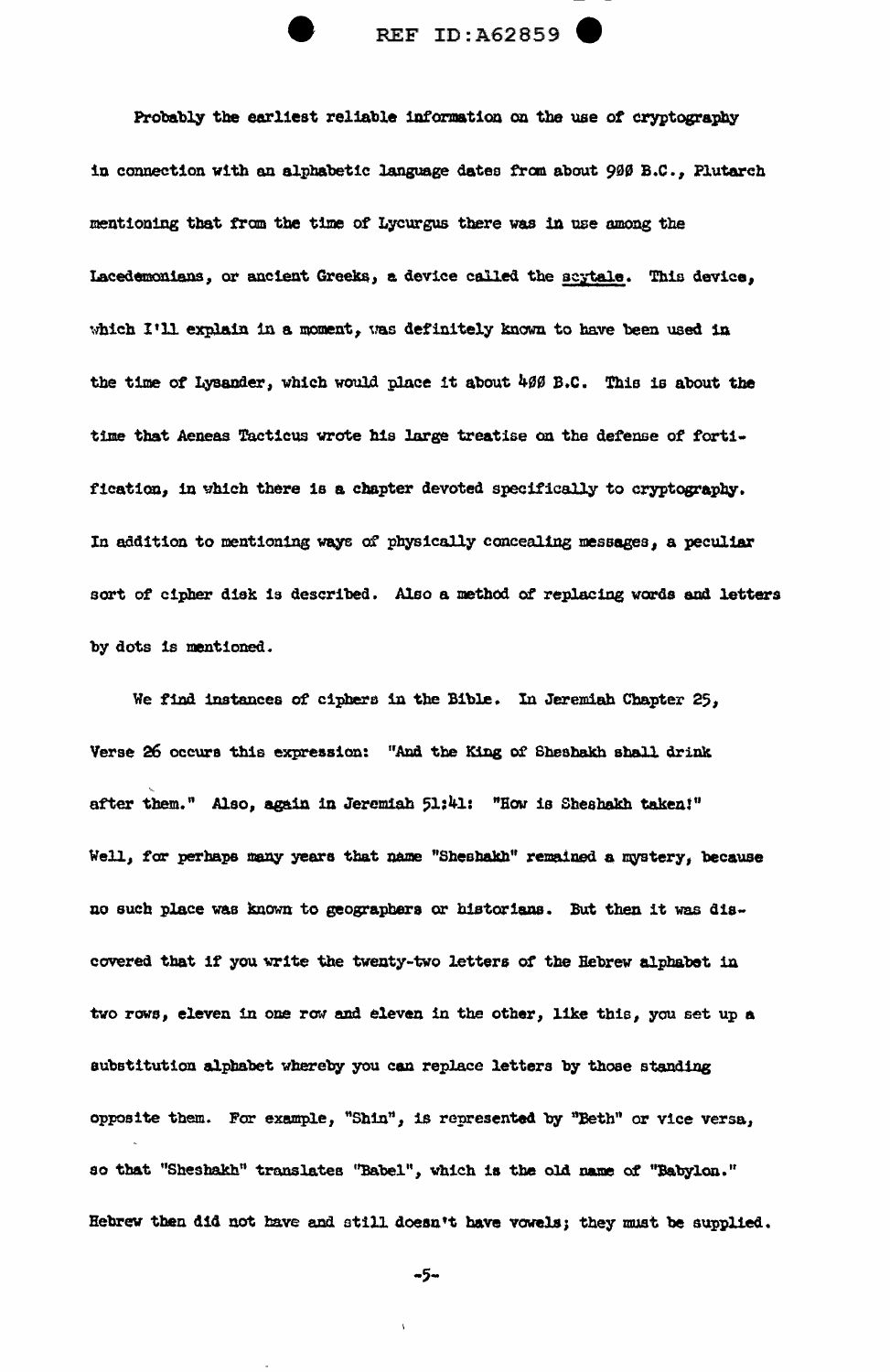

Probably the earliest reliable information on the use of cryptography in connection with an alphabetic language dates from about 900 B.C., Plutarch mentioning that from the time of Lycurgus there was in use among the Lacedemonians, or ancient Greeks, a device called the scytale. This device, which I'll explain in a moment, was definitely known to have been used in the time of Lysander, which would place it about 400 B.C. This is about the time that Aeneas Tacticus wrote his large treatise on the defense of fortification, in which there is a chapter devoted specifically to cryptography. In addition to mentioning ways of physically concealing messages, a peculiar sort of cipher disk is described. Also a method of replacing words and letters by dots is mentioned.

We find instances of ciphers in the Bible. In Jeremiah Chapter 25, Verse 26 occurs this expression: "And the King of Sheshakh shall drink after them." Also, again in Jeremiah 51:41: "How is Sheshakh taken!" Well, for perhaps many years that name "Sheshakh" remained a mystery, because no such place was known to geographers or historians. But then it was discovered that if you write the twenty-two letters of the Hebrew alphabet in two rows, eleven in one row and eleven in the other, like this, you set up a substitution alphabet whereby you can replace letters by those standing opposite them. For example, "Shin", is represented by "Beth" or vice versa, so that "Sheshakh" translates "Babel", which is the old name of "Babylon." Hebrew then did not have and still doesn't have vowels; they must be supplied.

 $-5-$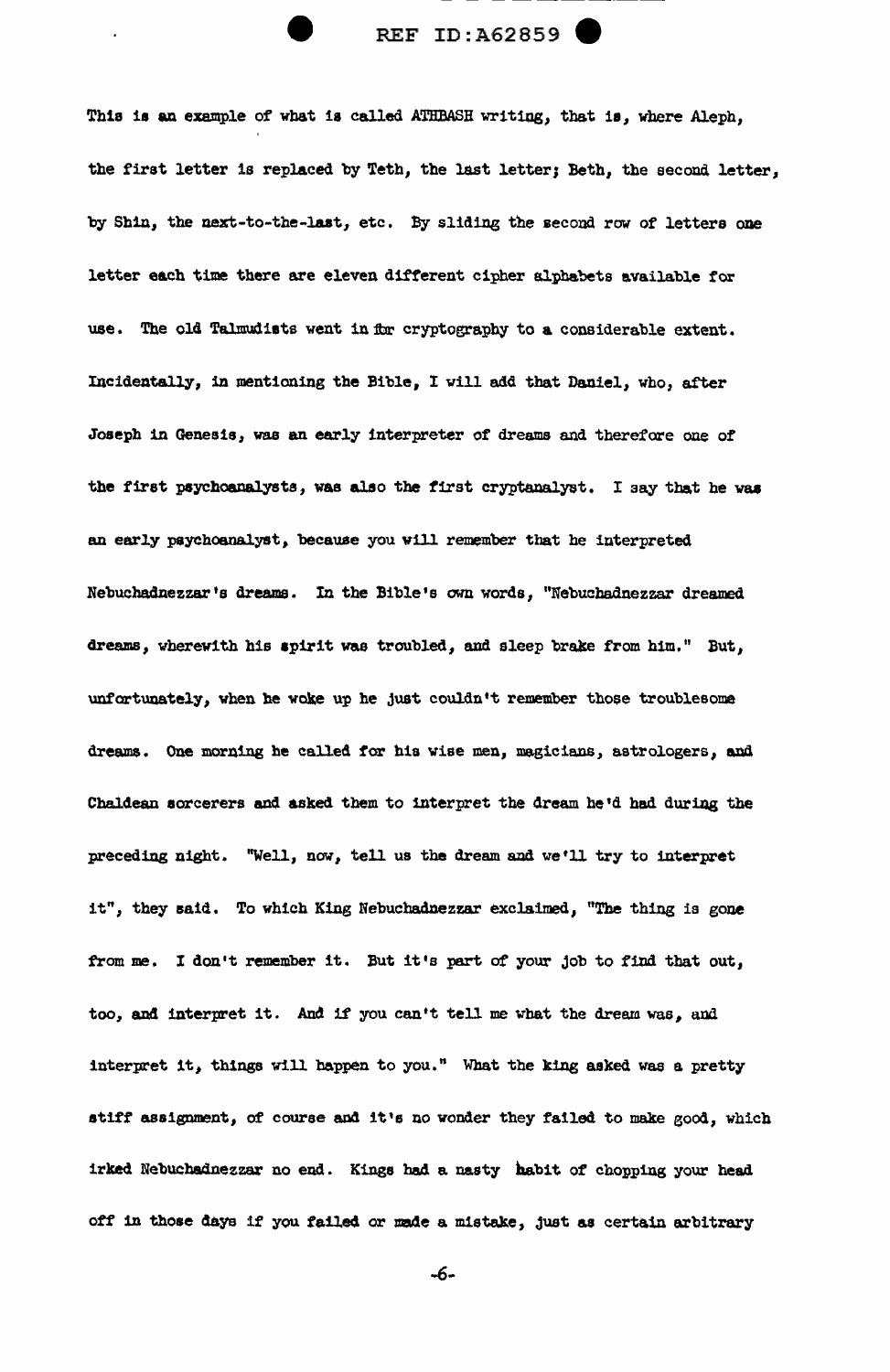## REF ID:A62859 (

This is an example of what is called ATHBASH writing, that is, where Aleph, the first letter is replaced by Teth, the last letter; Beth, the second letter, by Shin, the next-to-the-laat, etc. By sliding the second row of letters one letter each time there are eleven difterent cipher alphabets available for use. The old Talmudists went in for cryptography to a considerable extent. Incidentally, in mentioning the Bible, I vill add that Daniel, who, after Joseph in Genesis, was an early interpreter of dreams and therefore one of the first psychoanalysts, was also the first cryptanalyst. I say that he was an early psychoanalyst, becawse you will remember that he interpreted Nebuchadnezzar's dreams. In the Bible's own words, "Nebuchadnezzar dreamed dreams, wherewith his spirit was troubled, and sleep brake from him." But, unfortunately, when he woke up he just couldn't remember those troublesome dreams. One morning he called for his wise men, magicians, astrologers, and Chaldean sorcerers and. asked them to interpret the 4ream he'd had during the preceding night. "Well, now, tell us the dream and we'll try to interpret it", they said. To which King Nebuchadnezzar exclaimed, "The thing is gone from me. I don't remember it. But it's part of your job to find that out, too, and interpret it. And if you can't tell me what the dream was, and interpret it, things will happen to you." What the king asked was a pretty stiff assignment, of course and it's no wonder they failed to make good, which irked Nebuchadnezzar no end. Kings bad a nasty habit of chopping your head off in those days if you failed or made a mistake, just as certain arbitrary

-6-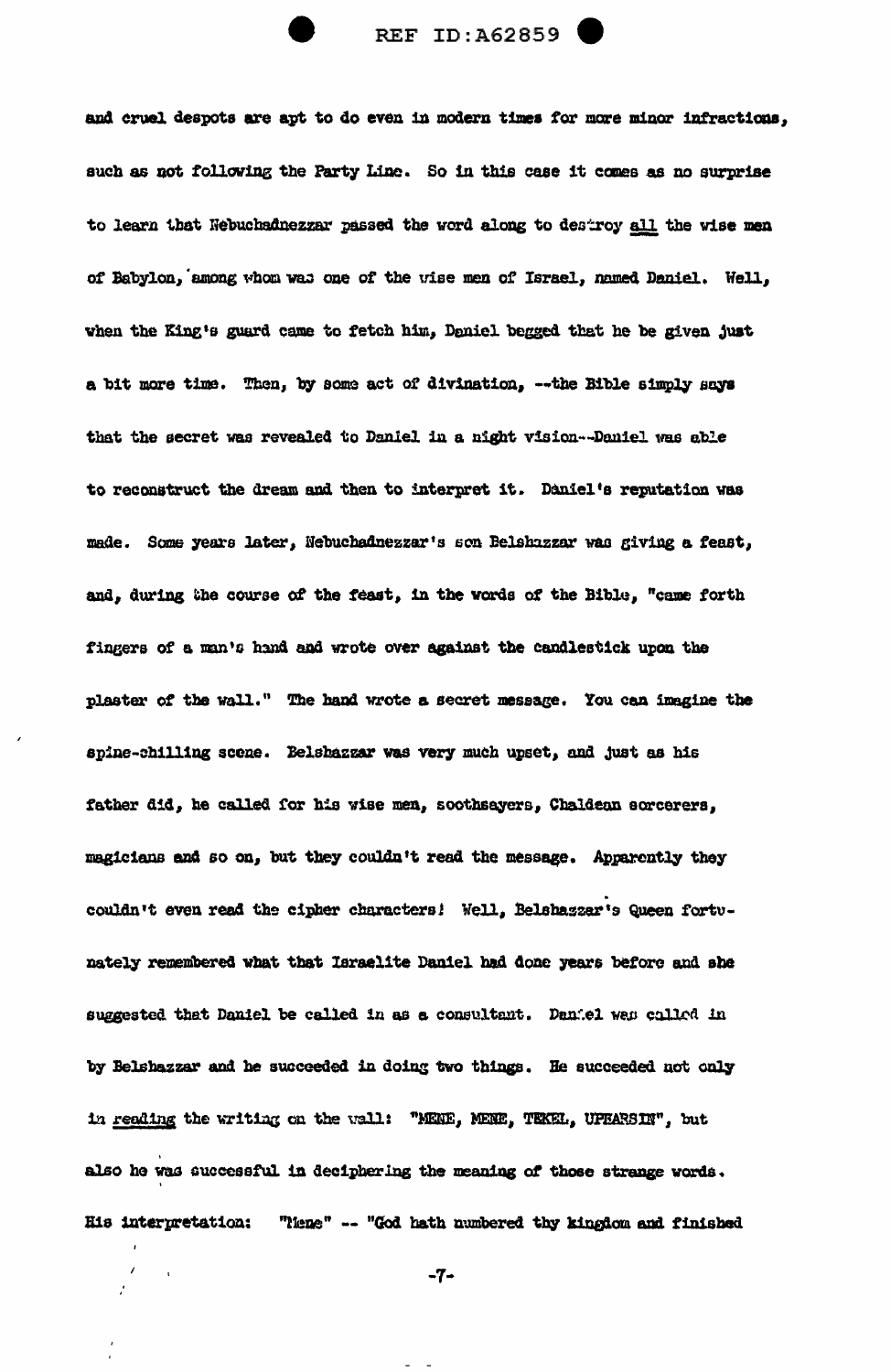

and cruel despots are apt to do even in modern times for more minor infractions, such as not following the Party Line. So in this case it comes as no surprise to learn that Nebuchadnezzar passed the word along to destroy all the wise men of Babylon, among whom was one of the wise men of Israel, named Daniel. Well, when the King's guard came to fetch him, Daniel begged that he be given just a bit more time. Then, by some act of divination, -- the Bible simply says that the secret was revealed to Daniel in a night vision--Daniel was able to reconstruct the dream and then to interpret it. Daniel's reputation was made. Some years later, Nebuchadnezzar's son Belshazzar was giving a feast, and, during the course of the feast, in the words of the Bible, "came forth fingers of a man's hand and wrote over against the candlestick upon the plaster of the wall." The hand wrote a secret message. You can imagine the spine-chilling scene. Belshazzar was very much upset, and just as his father did, he called for his wise men, soothsayers, Chaldean sorcerers, magicians and so on, but they couldn't read the message. Apparently they couldn't even read the cipher characters! Well, Belshazzar's Queen fortunately remembered what that Israelite Daniel had done years before and she suggested that Daniel be called in as a consultant. Daniel was called in by Belshazzar and he succeeded in doing two things. He succeeded not only in reading the writing on the wall: "MENE, MENE, TEKEL, UPEARSIN", but also he was successful in deciphering the meaning of those strange words. His interpretation: "Nene" -- "God hath numbered thy kingdom and finished

 $-7-$ 

 $\prime$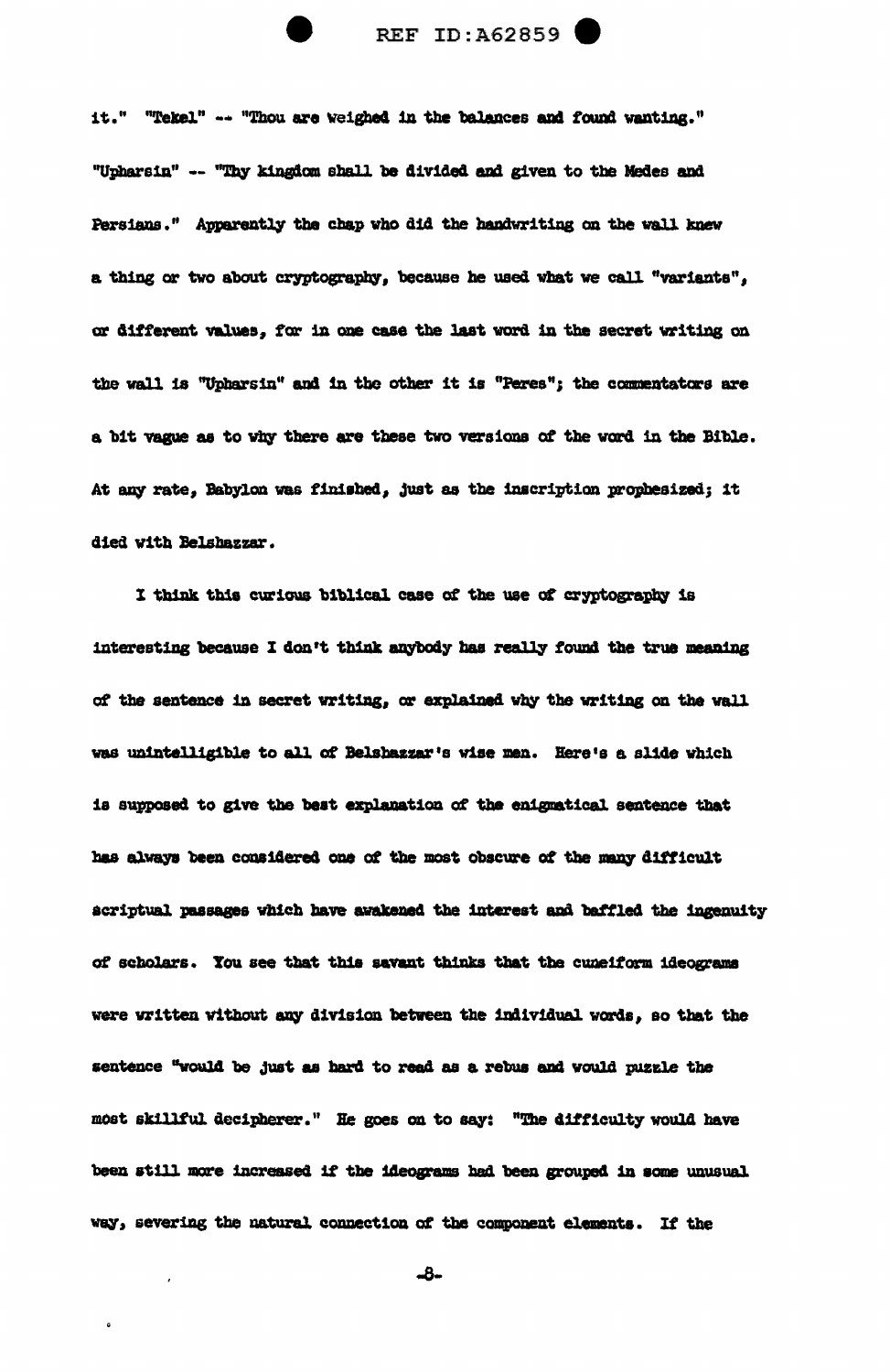it." "Tekel" -- "Thou are weighed in the balances and found wanting." "Upharsin" -- "Thy kingdom shall be divided and given to the Medes and Persians." Apparently the chap who did the handwriting on the wall knew a thing or two about cryptography, because he used what we call "variants", or different values, for in one case the last word in the secret writing on the wall is "Upharsin" and in the other it is "Peres"; the commentators are a bit vague as to vhy there are these two versions of the word in the Bible. At any rate, Babylon was finished, just as the inscription prophesized; it died with Belshazzar.

I think this curious biblical case of the use of cryptography is interesting because I don't think anybody has really found the true meaning of the sentence in secret writing, or explained why the writing on the wall was unintelligible to all of Belshazzar's wise men. Here's a slide which is supposed to give the best explanation of the enignatical sentence that has always been considered one of the most obscure of the many difficult scriptual passages which have awakened the interest and baffled the ingenuity of scholars. You see that this savant thinks that the cuneiform ideograms were written without any division between the individual words, so that the sentence "would be just as hard to read as a rebus and would puzzle the most skillful decipherer." He goes on to say: "The difficulty would have been still more increased if the ideograms had been grouped in some unusual way, severing the natural connection of the component elements. If the

-8-

 $\tilde{\mathbf{G}}$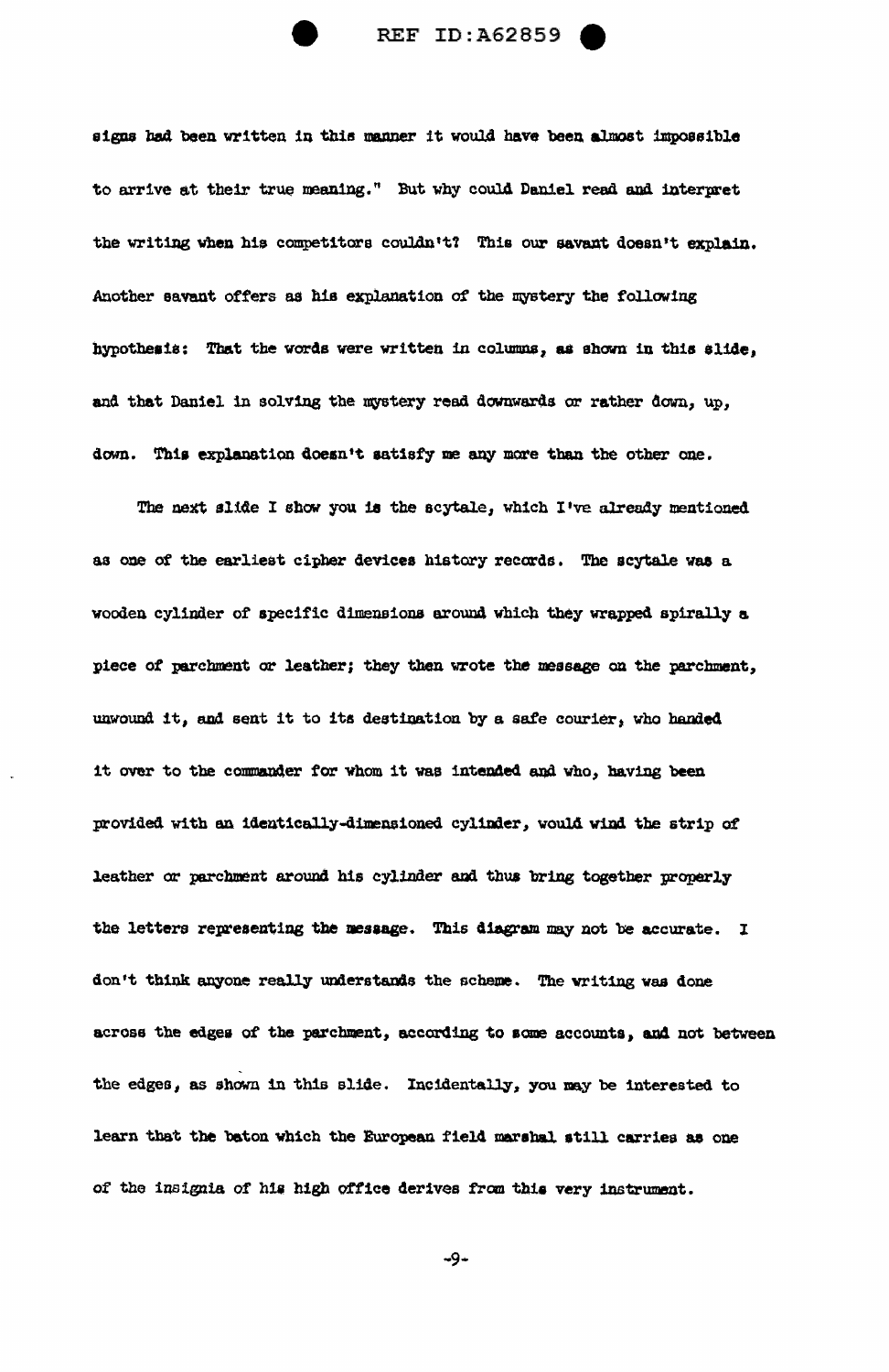

signs bad been written in this manner it would have been almost impossible to arrive at their true meaning." But why could Daniel read and interpret the writing when his competitors couldn't? This our savant doesn't explain. .Another savant offers as his explanation of the mystery the following hypothesis: That the words were written in columns, as shown in this slide, and that Daniel in solving the mystery read downwards or rather down, up, down. This explanation doesn't satisfy me any more than the other one.

The next slide I show you is the scytale, which I've already mentioned as one of the earliest cipher devices history records. The scytale was a wooden cylinder of specific dimensions around which they wrapped spirally a piece of parchment or leather; they then wrote the message en the parchment, unwound it, and sent it to its destination by a safe courier, who handed it over to the commander for whom it was intended and who, having been provided with an identically-dimensioned cylinder, would wind the strip of leather or parchment around his cylinder and thus bring together properly the letters representing the mesaage. This diagram nay not be accurate. I don't think anyone really understands the scheme. The writing was done across the edges of the parchment, according to some accounts, and not between the edges, as shown in this slide. Incidentally, you may be interested to learn that the baton which the European field marshal still carries as one of the insignia of his high office derives from this very instrument.

 $-9-$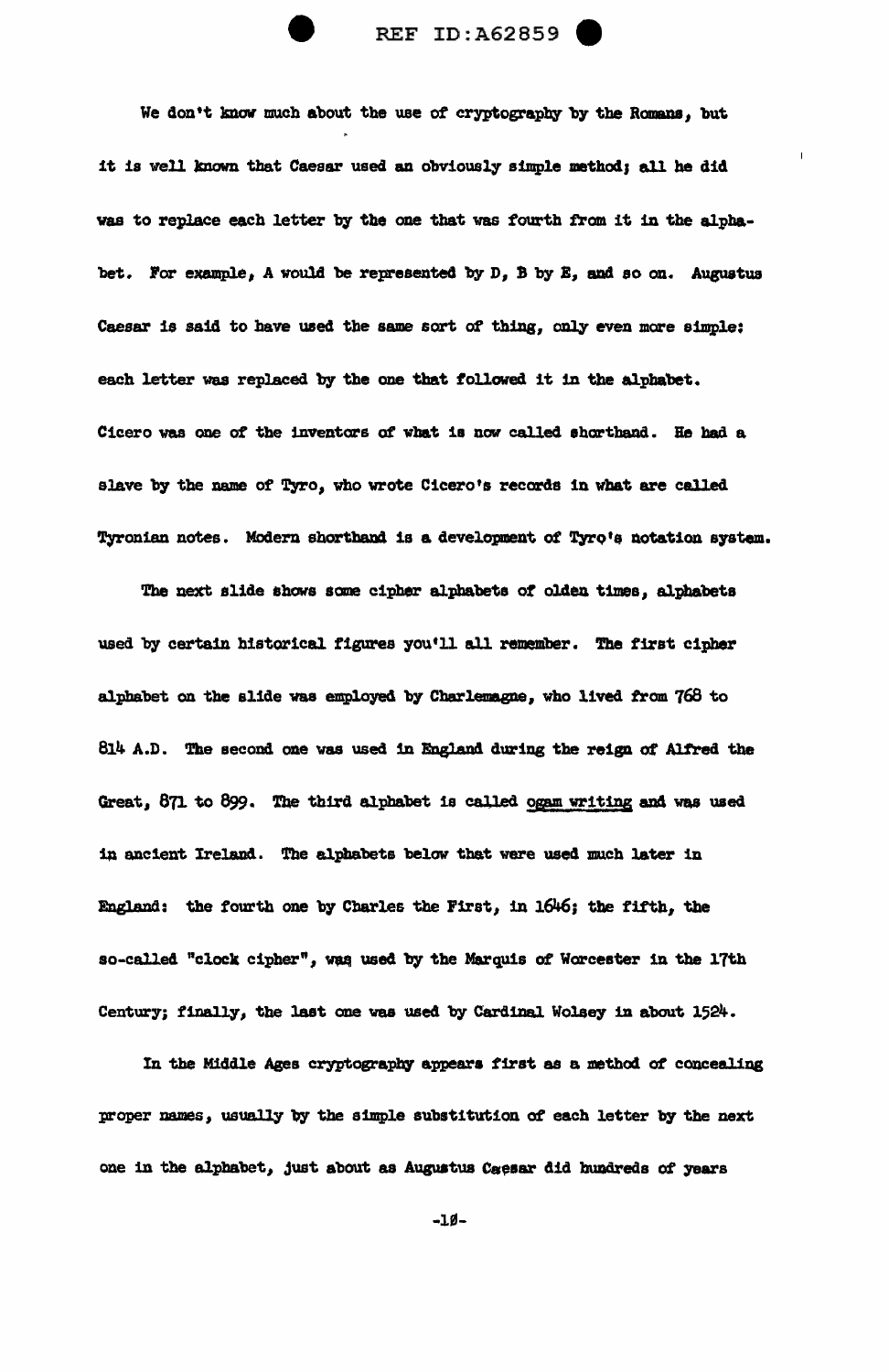

REF ID:A62859

We don't know much about the use of cryptography by the Romans, but it is well known that Caesar used an obviously simple method; all he did was to replace each letter by the one that was fourth from it in the alphabet. For example, *A* would be represente4 by D, B by B, and so on. Augustus Caesar is said to have used the same sort of thing, only even more simple: each letter was replaced by the one that followed it 1n the alphabet. Cicero was one of the inventors of what is now called shorthand. He had a slave by the name of Tyro, who wrote Cicero's records in what are called Tyronian notes. Modern shorthand is a development of Tyrq's notation system.

The next slide ahows same cipher alphabets *ot* olden times, alphabets used by certain historical figures you'll all remember. The first cipher alphabet on the slide was employed by Charlemagne, who lived from 768 to 814 A.D. The second one was used in England during the reign of Alfred the Great, 871 to 899. The third alphabet is called ogam writing and was used in ancient Ireland. The alphabets below that were used much later in England: the fourth one by Charles the First, in 1646; the fifth, the so-called "clock cipher", was used by the Marquis of Worcester in the 17th Century; finally, the last one was used by Cardinal Wolsey in about 1524.

In the Middle Ages cryptography appears first as a method of concealing proper names, usually by the simple substitution of each letter by the next one in the alphabet, just about as Augustus Caesar did hundreds of years

 $-I$ g-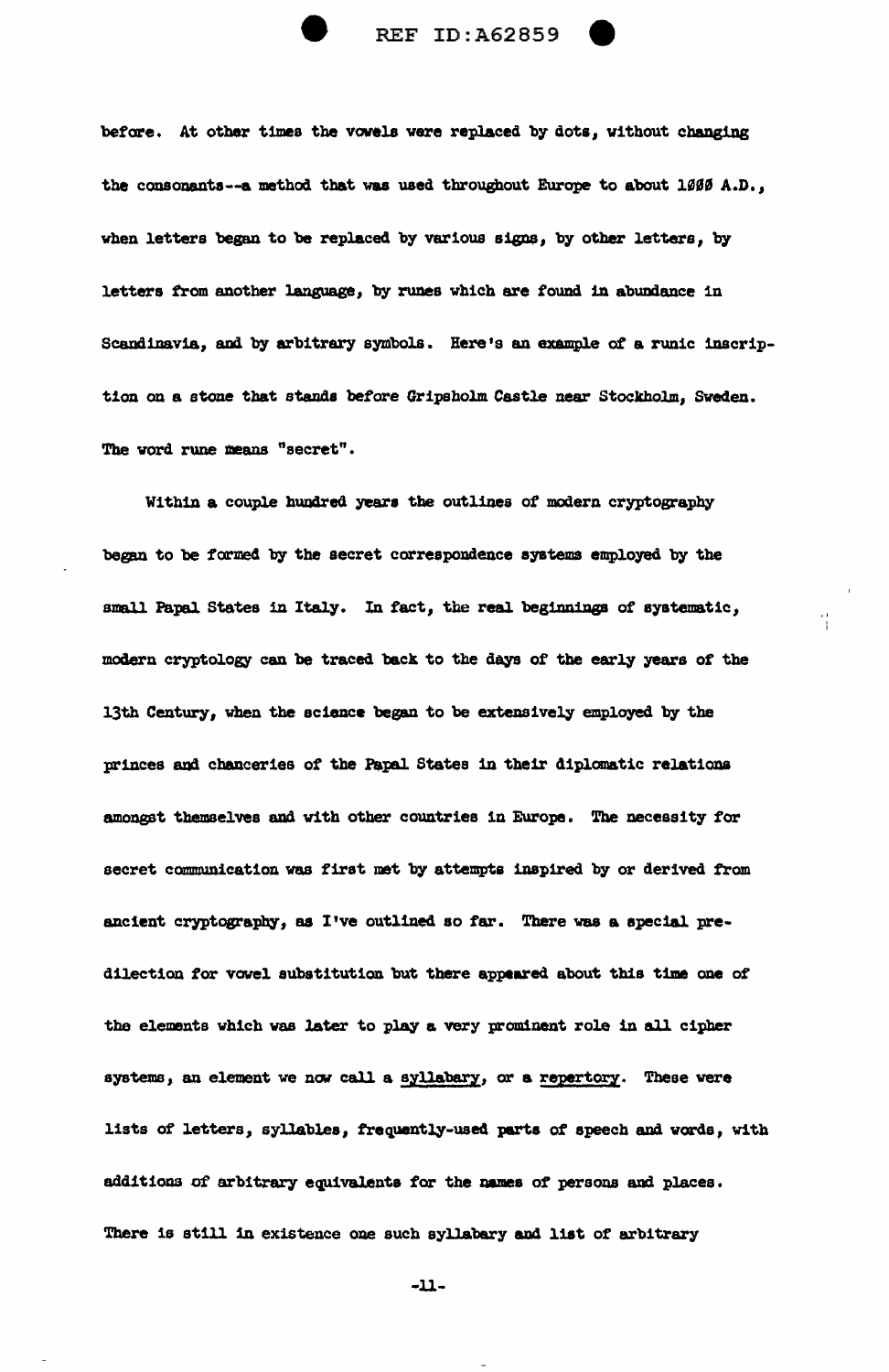

before. At other times the vovela were replaced by dots, without changing the consonants--a method that was used throughout Europe to about 1000 A.D., when letters began to be replaced by various signs, by other letters, by letters from another language, by runes which are found in abundance in Scandinavia, and by arbitrary symbols. Here's an example of a runic inscription on a stone that stands before Gripsholm Castle near Stockholm, Sweden. The word rune means "secret".

Within a couple hundred years the outlines of modern cryptography began to be formed by the secret correspondence systems employed by the small Papal States in Italy. In fact, the real beginnings of systematic, modern cryptology can be traced back to the days of the early years of the 13th Century, when the science began to be extensively emp1oyed by the princes and chanceries of the Papal States in their diplomatic relations amongst themselves and with other countries in Europe. The necessity for secret communjcation was tirat met by attempta 1nsp1red by or derived from ancient cryptography, as I've outlined so far. There was a special predilection for vowel aubstitution but there appeared about this time one of the elements which was later to play a very prominent role in all cipher systems, an element we now call a syllabary, or a repertory. These were lists of letters, syllables, frequently-used parts of speech and wards, with additions of arbitrary equivalents for the names of persons and places. There is still in existence one such syllabary and list of arbitrary

-u-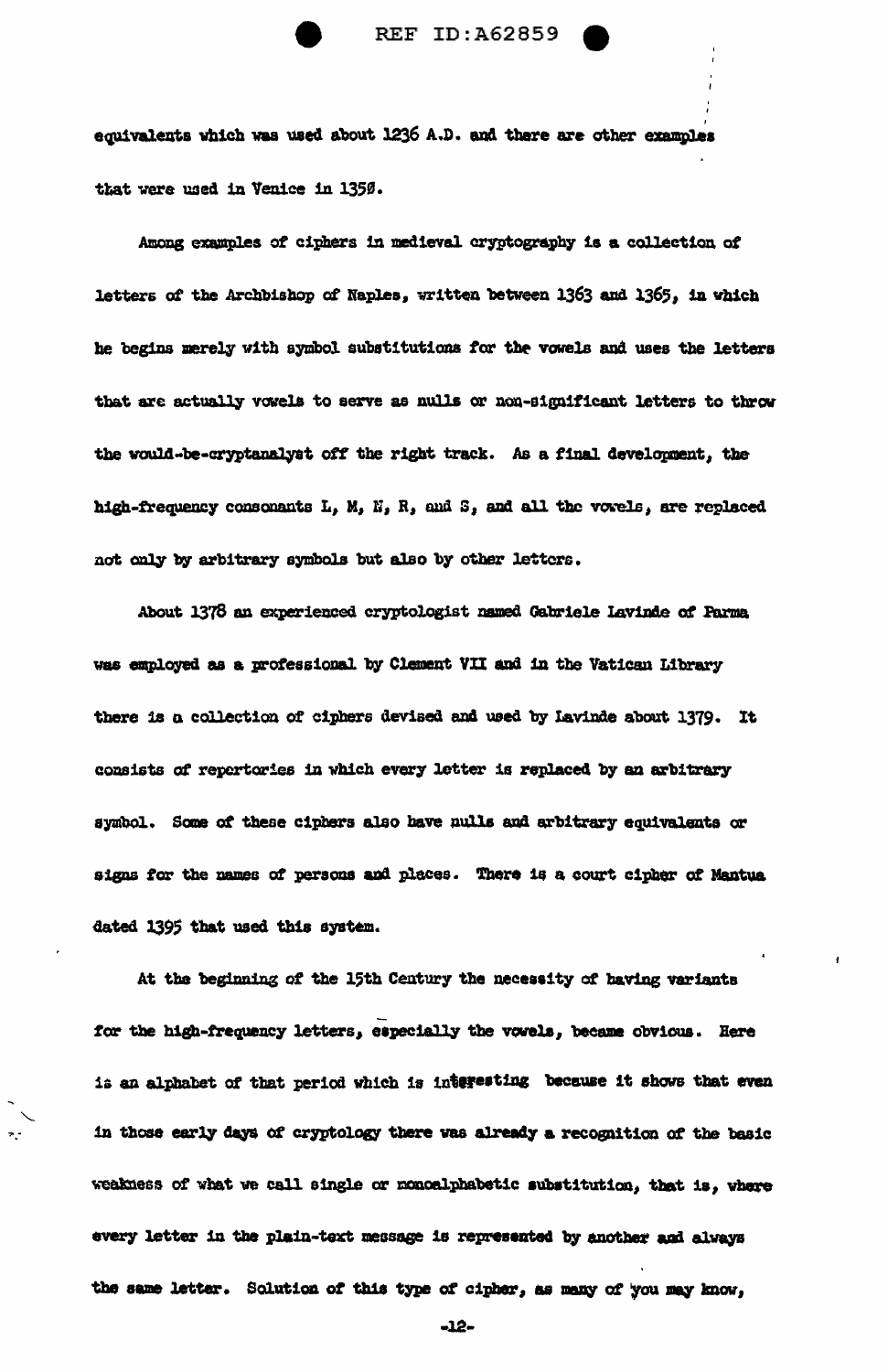

equivalents which was used about 1236 A.D. and there are other examples that were used in Venice in 1350.

Among examples of ciphers in medieval cryptography is a collection of letters of the Archbishop of Naples, written between 1363 and 1365, in which he begins merely with symbol substitutions for the vowels and uses the letters that are actually vowels to serve as nulls or non-significant letters to throw the would-be-cryptanalyst off the right track. As a final development, the high-frequency consonants L, M, N, R, and S, and all the vowels, are replaced not only by arbitrary symbols but also by other letters.

About 1378 an experienced cryptologist named Gabriele Lavinde of Parma was employed as a professional by Clement VII and in the Vatican Library there is a collection of ciphers devised and used by Lavinde about 1379. It consists of repertories in which every letter is replaced by an arbitrary symbol. Some of these ciphers also have nulls and arbitrary equivalents or signs for the names of persons and places. There is a court cipher of Mantua dated 1395 that used this system.

At the beginning of the 15th Century the necessity of having variants for the high-frequency letters, especially the vowels, became obvious. Here is an alphabet of that period which is interesting because it shows that even in those early days of cryptology there was already a recognition of the basic weakness of what we call single or monoalphabetic substitution, that is, where every letter in the plain-text message is represented by another and always the same letter. Solution of this type of cipher, as many of you may know,

-12-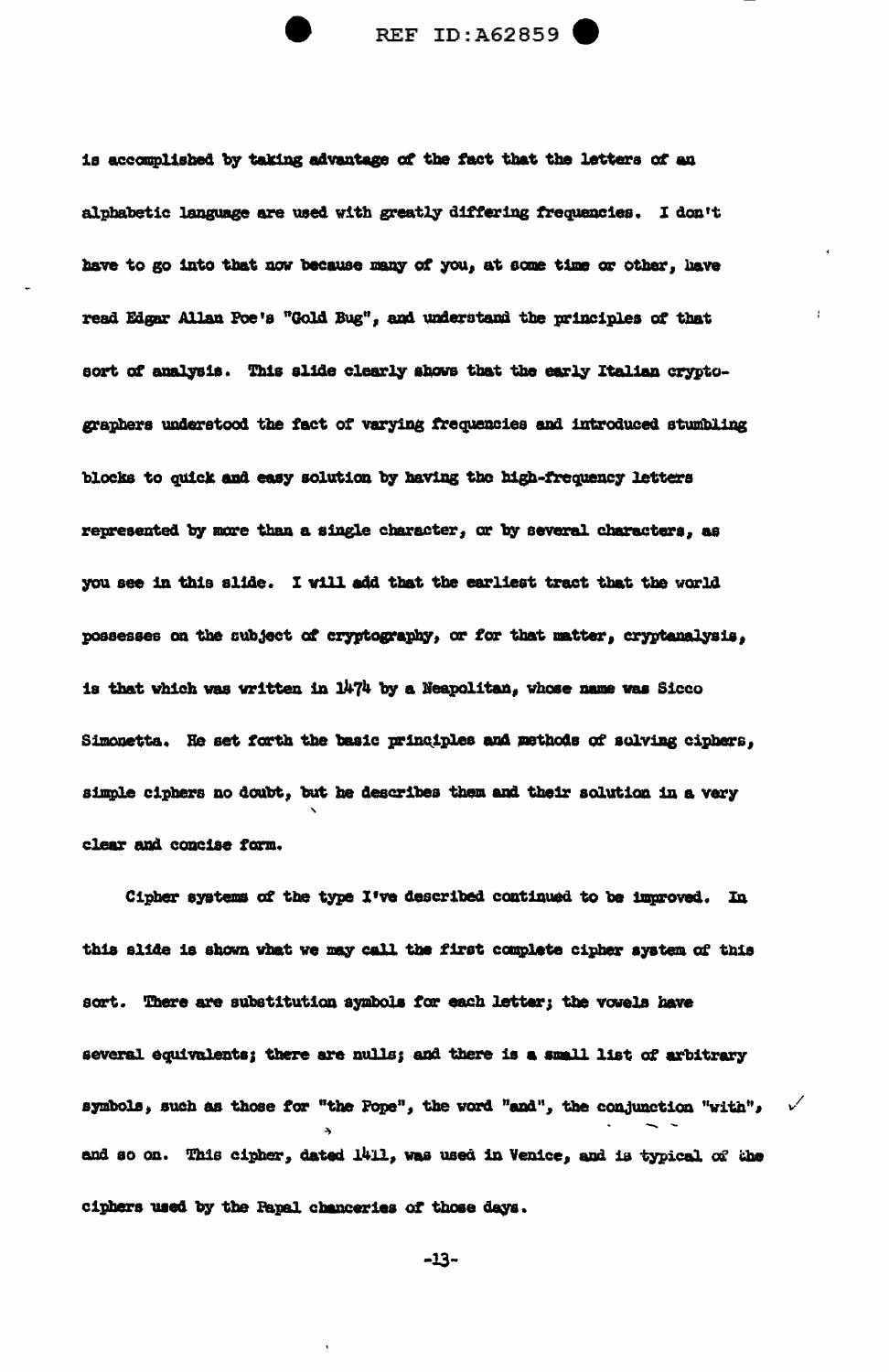is accomplished by taking advantage of the fact that the letters of an alphabetic language are used with greatly differing frequencies. I don't have to go into that now because many of you, at some time or other, have read Edgar Allan Poe's "Gold Bug", and understand the principles of that sort of analysis. This slide clearly shows that the early Italian cryptographers understood the fact of varying frequencies and introduced stumbling blocks to quick and easy solution by having the high-frequency letters represented by more than a single character, or by several characters, as you see in this slide. I will add that the earliest tract that the world possesses on the subject of cryptography, or for that matter, cryptanalysis, is that which was written in 1474 by a Neapolitan, whose name was Sicco Simonetta. He set forth the basic principles and methods of solving ciphers, simple ciphers no doubt, but he describes them and their solution in a very clear and concise form.

Cipher systems of the type I've described continued to be improved. In this slide is shown what we may call the first complete cipher system of this sort. There are substitution symbols for each letter; the vowels have several equivalents; there are nulls; and there is a small list of arbitrary symbols, such as those for "the Pope", the word "and", the conjunction "with",  $v'$ and so on. This cipher, dated 1411, was used in Venice, and is typical of the ciphers used by the Papal chanceries of those days.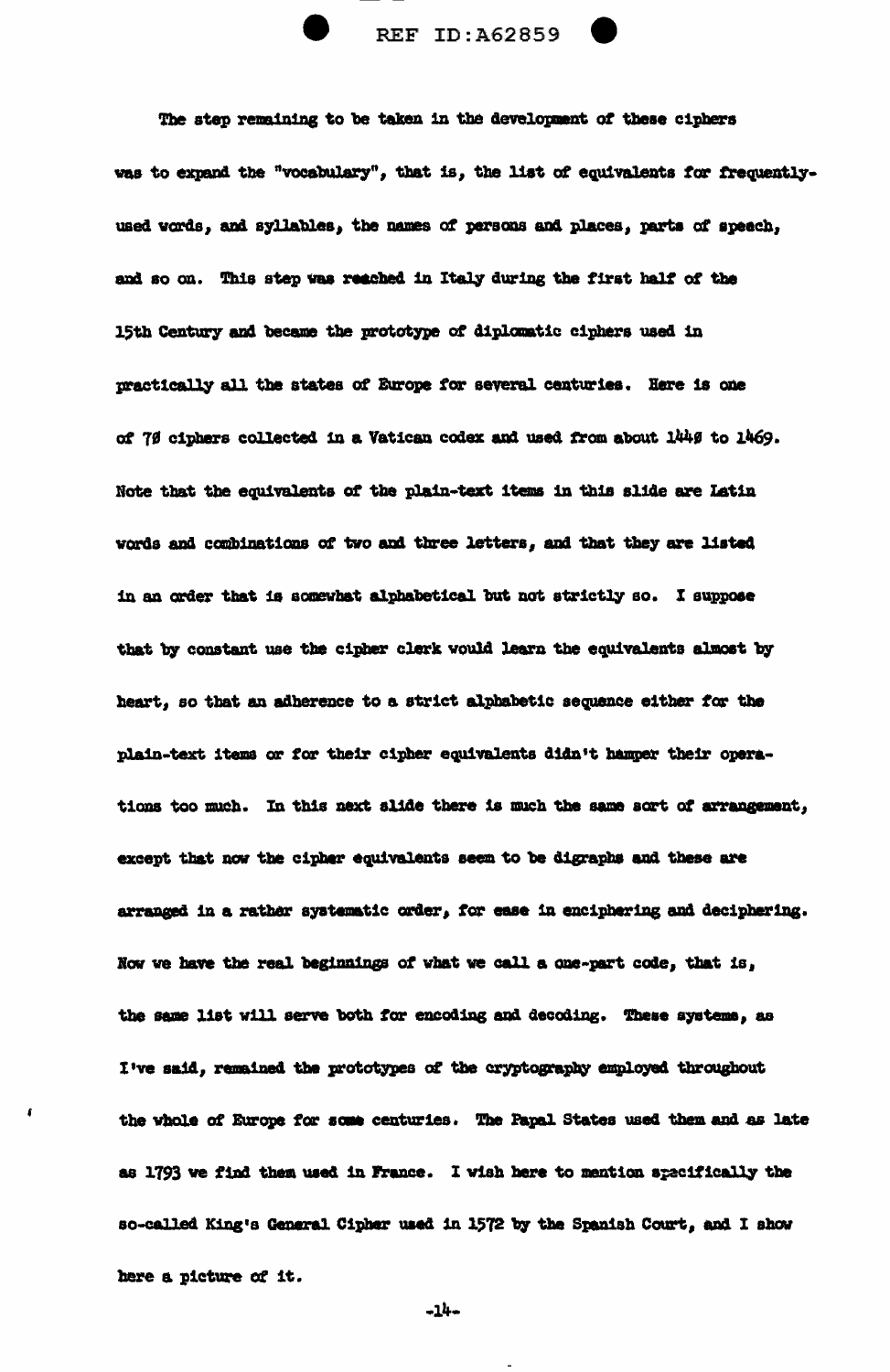

The step remaining to be taken in the development of these ciphers was to expand the "vocabulary", that is, the list of equivalents for frequentlyused words, and syllables, the names of persons and places, parts of speech, and so on. This step was reached in Italy during the first half of the 15th Century and became the prototype of diplomatic ciphers used in practically all the states of Europe for several centuries. Here is one of 79 ciphers collected in a Vatican codex and used from about 1449 to 1469. Note that the equivalents of the plain-text items in this slide are Latin words and combinations of two and three letters, and that they are listed in an order that is somewhat alphabetical but not strictly so. I suppose that by constant use the cipher clerk would learn the equivalents almost by heart, so that an adherence to a strict alphabetic sequence either for the plain-text items or for their cipher equivalents didn't hamper their operations too much. In this next slide there is much the same sort of arrangement, except that now the cipher equivalents seem to be digraphs and these are arranged in a rather systematic order, for ease in enciphering and deciphering. Now we have the real beginnings of what we call a one-part code, that is, the same list will serve both for encoding and decoding. These systems, as I've said, remained the prototypes of the cryptography employed throughout the whole of Europe for some centuries. The Papal States used them and as late as 1793 we find them used in France. I wish here to mention specifically the so-called King's General Cipher used in 1572 by the Spanish Court, and I show here a picture of it.

 $-14-$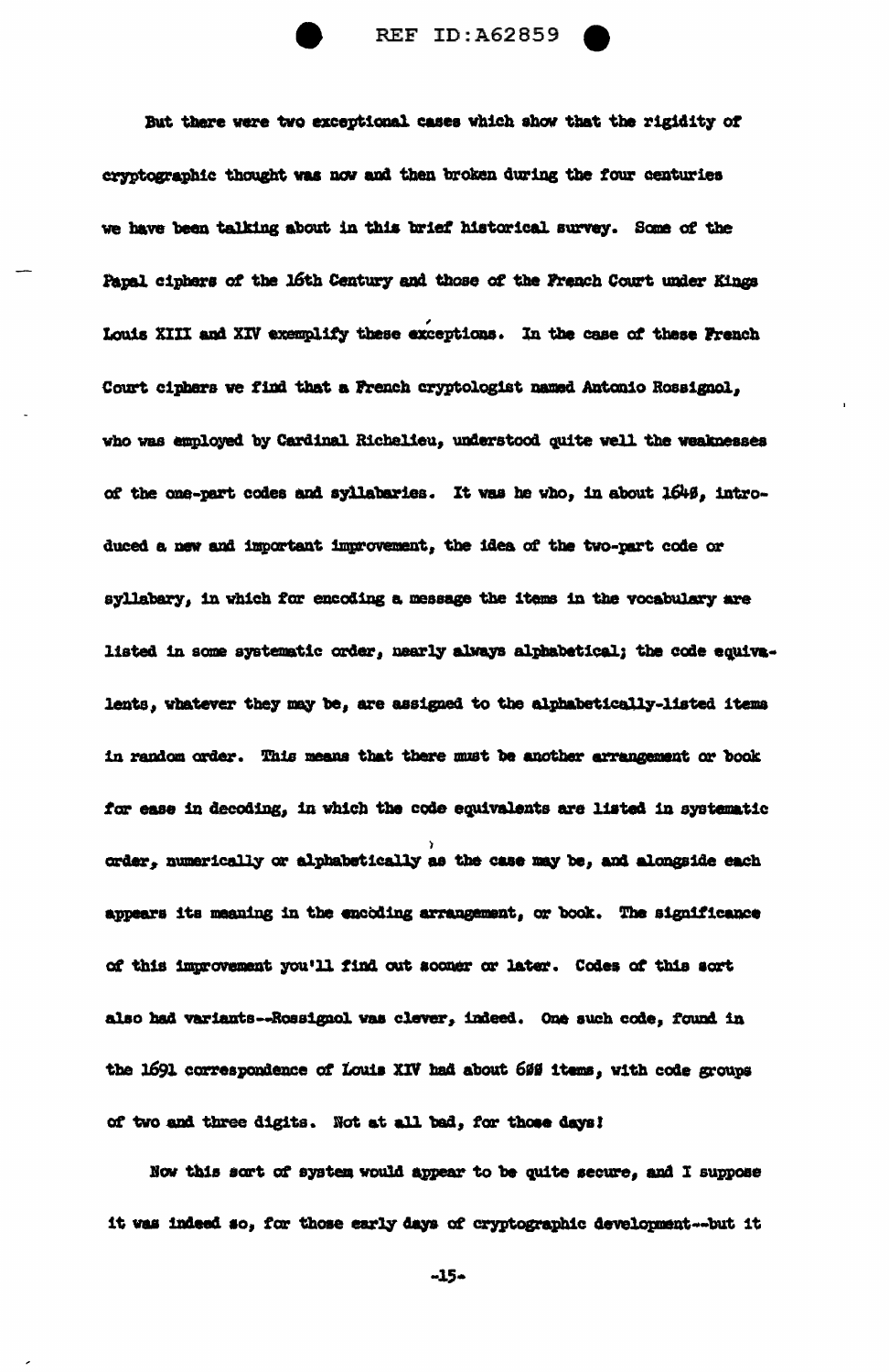

But there were two exceptional cases which show that the rigidity of cryptographic thought was now and then broken during the four centuries we have been talking about in this brief historical survey. Some of the Papal ciphers of the 16th Century and those of the French Court under Kings Louis XIII and XIV exemplify these exceptions. In the case of these French Court ciphers we find that a French cryptologist named Antonio Rossignol, who was employed by Cardinal Richelieu, understood quite well the weaknesses of the one-part codes and syllabaries. It was he who, in about 1649, introduced a new and important improvement, the idea of the two-part code or syllabary, in which for encoding a message the items in the vocabulary are listed in some systematic order, nearly always alphabetical; the code equivalents, whatever they may be, are assigned to the alphabetically-listed items in random order. This means that there must be another arrangement or book for ease in decoding, in which the code equivalents are listed in systematic order, numerically or alphabetically as the case may be, and alongside each appears its meaning in the encoding arrangement, or book. The significance of this improvement you'll find out sooner or later. Codes of this sort also had variants--Rossignol was clever, indeed. One such code, found in the 1691 correspondence of Louis XIV had about 600 items, with code groups of two and three digits. Not at all bad, for those days!

Now this sort of system would appear to be quite secure, and I suppose it was indeed so, for those early days of cryptographic development--but it

-15-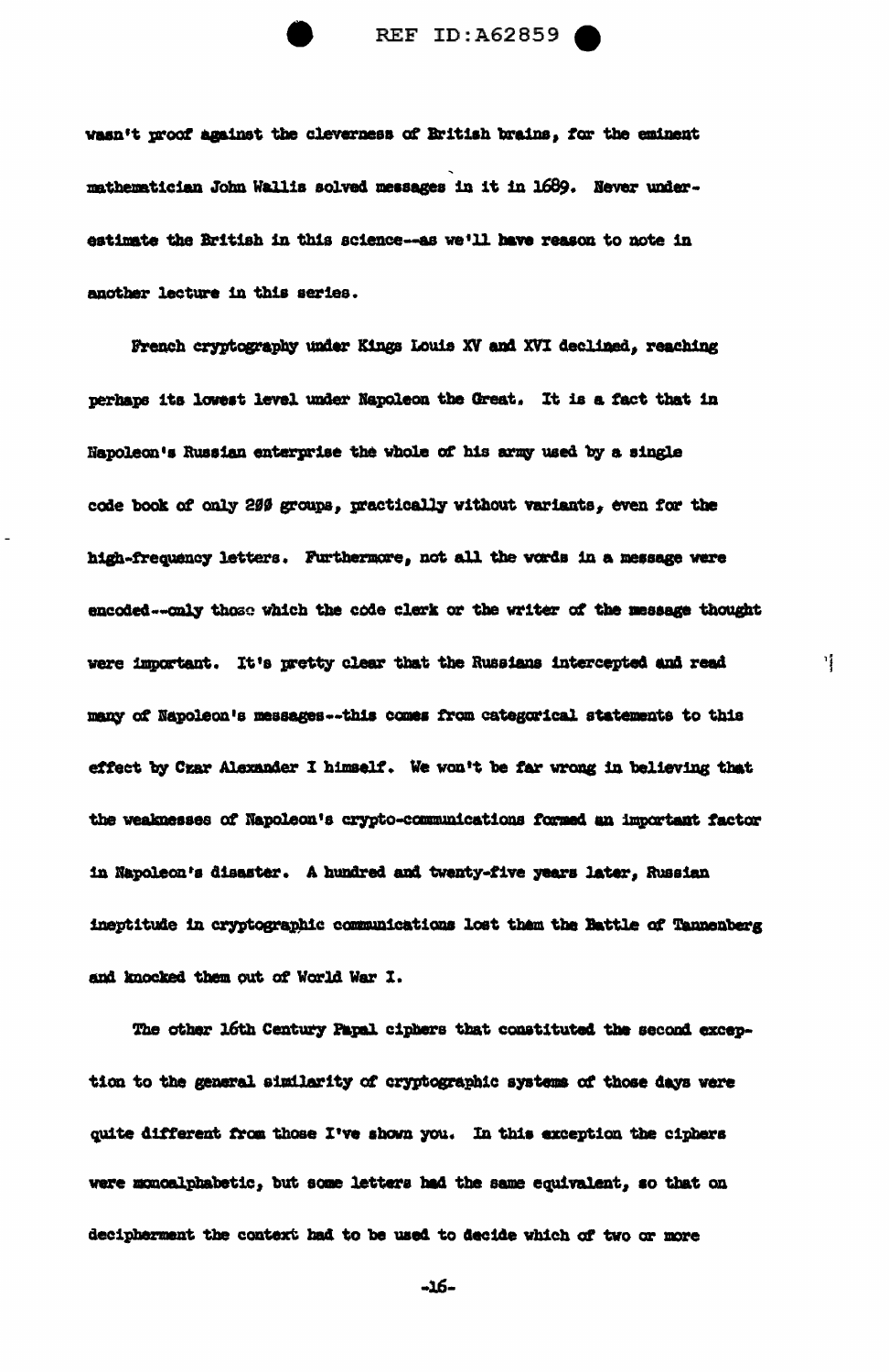

wasn't proof against the cleverness of British brains, for the eminent mathematician John Wallis solved messages in it in 1689. Never underestimate the British in this science--as we'll have reason to note in another lecture in this series.

French cryptography under Kings Louis XV and XVI declined, reaching perhaps its lowest level under Napoleon the Great. It is a fact that in Napoleon's Russian enterprise the whole of his army used by a single code book of only 200 groups, practically without variants, even for the high-frequency letters. Furthermore, not all the words in a message were encoded--only those which the code clerk or the writer of the message thought were important. It's pretty clear that the Russians intercepted and read many of Napoleon's messages -- this comes from categorical statements to this effect by Czar Alexander I himself. We won't be far wrong in believing that the weaknesses of Napoleon's crypto-communications formed an important factor in Napoleon's disaster. A hundred and twenty-five years later, Russian ineptitude in cryptographic communications lost them the Hattle of Tannenberg and knocked them out of World War I.

Ħ.

The other 16th Century Papal ciphers that constituted the second exception to the general similarity of cryptographic systems of those days were quite different from those I've shown you. In this exception the ciphers were monoalphabetic, but some letters had the same equivalent, so that on decipherment the context had to be used to decide which of two or more

-16-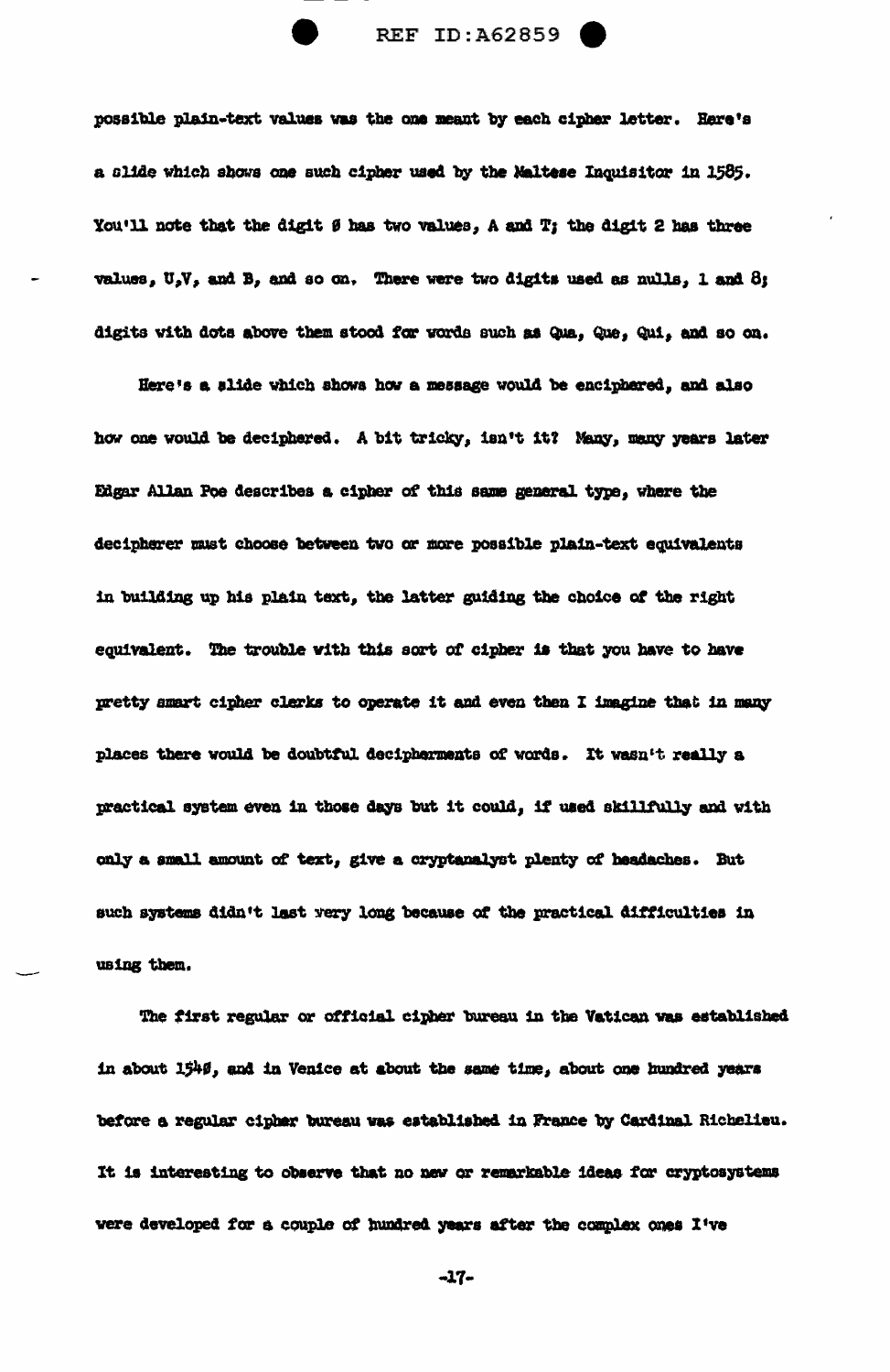possible plain-text values was the one meant by each cipher letter. Here's a slide which shows one such cipher used by the Naltese Inquisitor in 1585. You'll note that the digit  $\theta$  has two values, A and T; the digit 2 has three values,  $U_sV_s$  and B, and so on. There were two digits used as nulls, 1 and 8; digits with dots above them stood for words such as Qua, Que, Qui, and so on.

Here's a slide which shows how a message would be enciphered, and also how one would be deciphered. A bit tricky, isn't it? Many, many years later Edgar Allan Poe describes a cipher of this same general type, where the decipherer must choose between two or more possible plain-text equivalents in building up his plain text, the latter guiding the choice of the right equivalent. The trouble with this sort of cipher is that you have to have pretty smart cipher clerks to operate it and even then I imagine that in many places there would be doubtful decipherments of words. It wasn't really a practical system even in those days but it could, if used skillfully and with only a small amount of text, give a cryptanalyst plenty of headaches. But such systems didn't last very long because of the practical difficulties in using them.

The first regular or official cipher bureau in the Vatican was established in about 1540, and in Venice at about the same time, about one hundred years before a regular cipher bureau was established in France by Cardinal Richelieu. It is interesting to observe that no new or remarkable ideas for cryptosystems were developed for a couple of hundred years after the complex ones I've

 $-17-$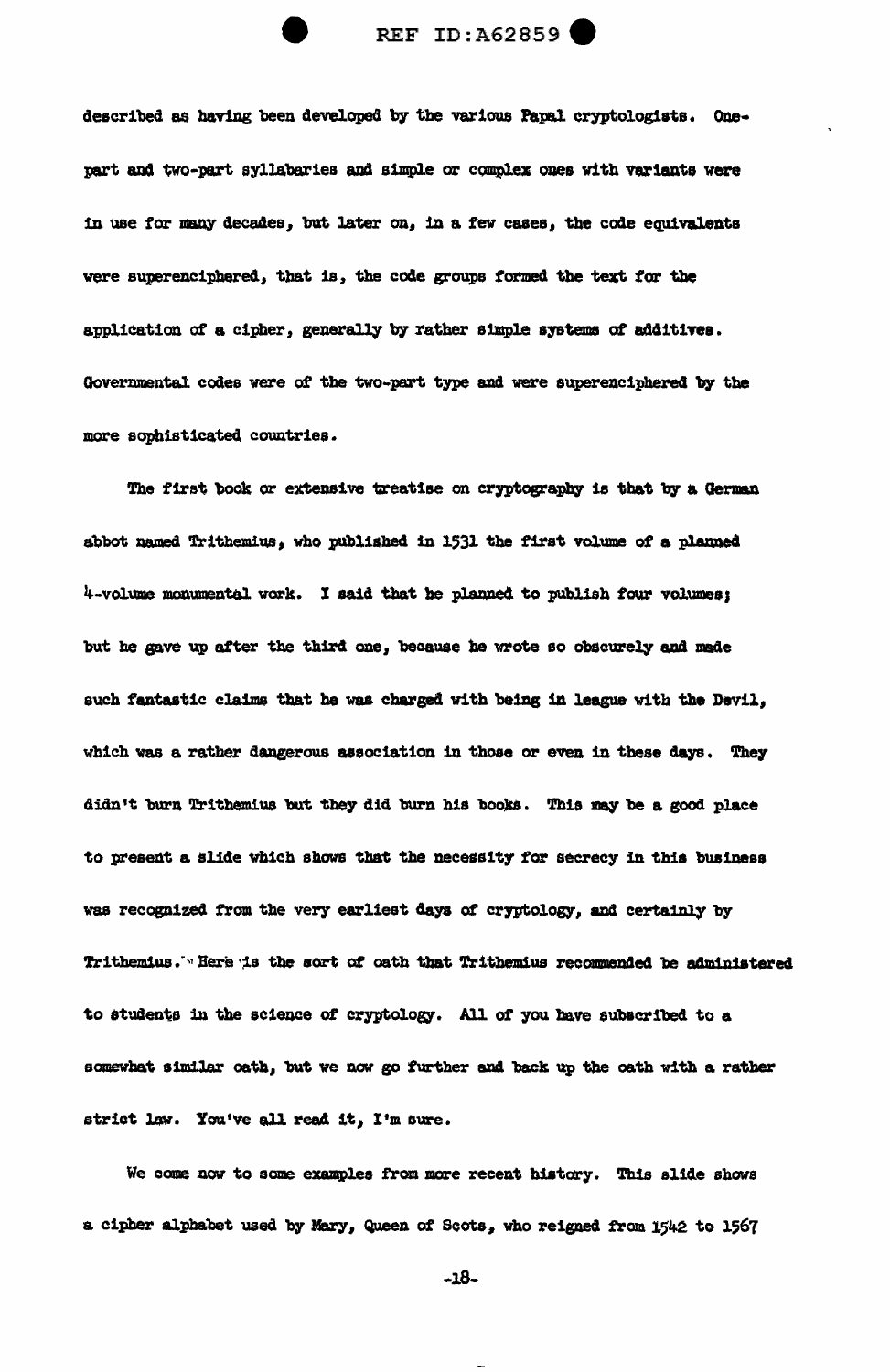

described as having been developed by the various Papal cryptologists. Onepart and two-part syllabaries and simple or complex ones with variants were in use for many decades, but later on, in a few cases, the code equivalents were superenciphered, that is, the code groups formed the text for the application of a cipher, generally by rather simple systems of additives. Governmental codes were of the two-part type and were superenciphered by the more sophisticated countries.

The first book or extensive treatise on cryptography is that by a German. abbot named Trithemius, who published in 1531 the first volume of a planned 4.-volume monumental work. I said that he planned to publish four volumes; but he gave up after the third one, because he wrote so obscurely and made such fantastic claims that he was charged with being in league with the Devil, which was a rather dangerous association in those or even in these days. They didn't burn Trithemius but they did burn his books. This may be a good place to present a slide which shows that the necessity for secrecy in this business was recognized from the very earliest days of cryptology, and certainly by Trithemius. In Bere is the sort of oath that Trithemius recommended be administered to students in the science of cryptology. All of you have subscribed to a somewhat a1m1Jar oath, but we now go further and. back up tbe oath with a rather strict law. You've all read it, I'm sure.

We come now to some examples from more recent history. This alide shows a cipher alphabet used by Mary, Queen of Scots, who reigned from 1542 to 1567

 $-18-$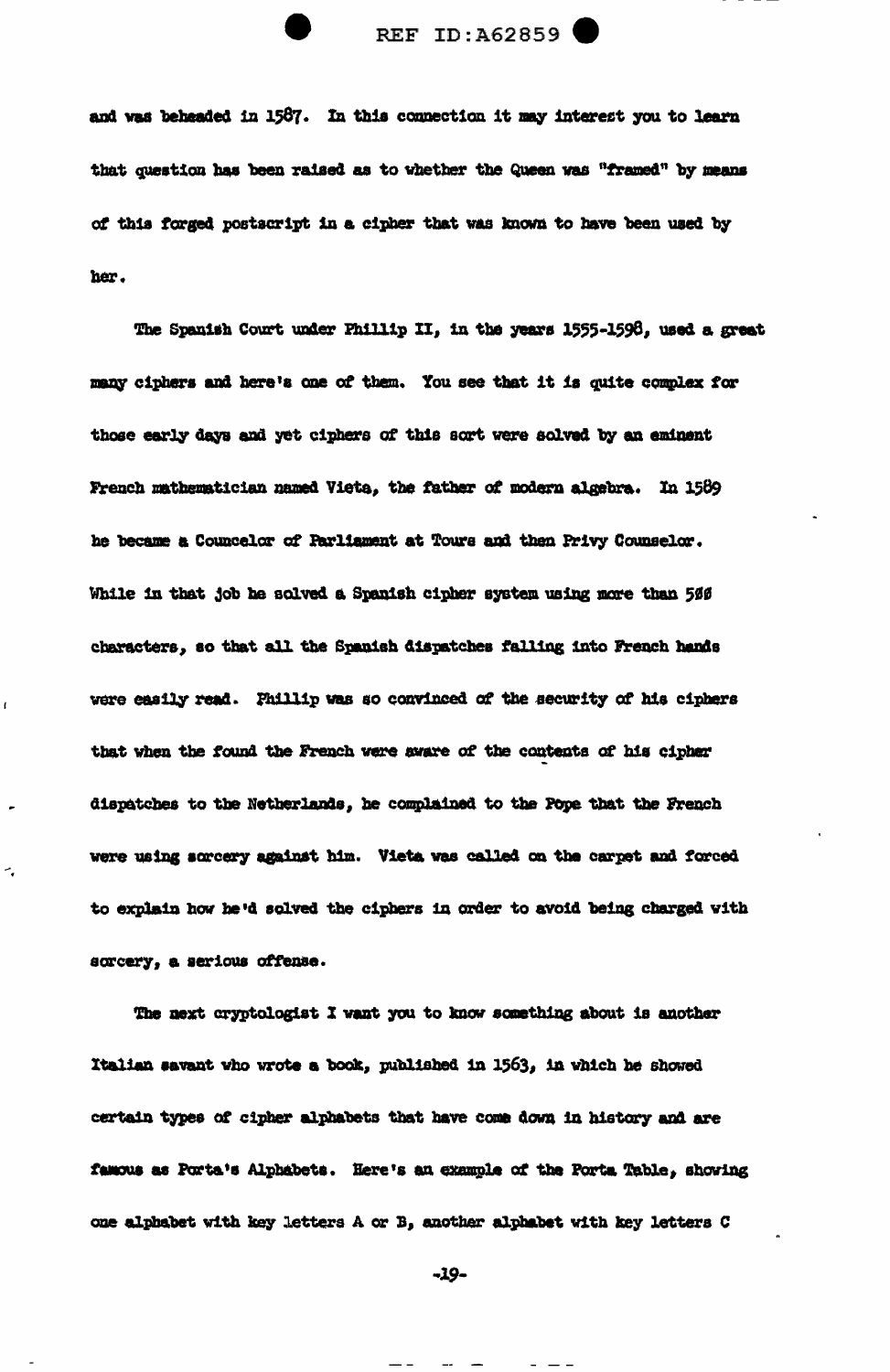

and was beheaded in 1587. In this connection it may interest you to learn that question has been raised as to whether the Queen was "framed" by means of this forged postscript in a cipher that was known to have been used by her.

The Spanish Court under Phillip II, in the years 1555-1598, used a great many ciphers and here's one of them. You see that it is quite complex for those early days and yet ciphers of this sort were solved by an eminent French mathematician named Vieta, the father of modern algebra. In 1589 he became a Councelor of Parliament at Tours and then Privy Counselor. While in that job he solved a Spanish cipher system using more than 500 characters, so that all the Spanish dispatches falling into French hands were easily read. Fhillip was so convinced of the security of his ciphers that when the found the French were sware of the contents of his cipher dispatches to the Netherlands, he complained to the Pope that the French were using sorcery against him. Vieta was called on the carpet and forced to explain how he'd solved the ciphers in order to avoid being charged with sorcery, a serious offense.

The next cryptologist I want you to know something about is another Italian savant who wrote a book, published in 1563, in which he showed certain types of cipher alphabets that have come down in history and are famous as Porta's Alphabets. Here's an example of the Porta Table, showing one alphabet with key letters A or B, another alphabet with key letters C

 $\tilde{\phantom{a}}$  .

-19-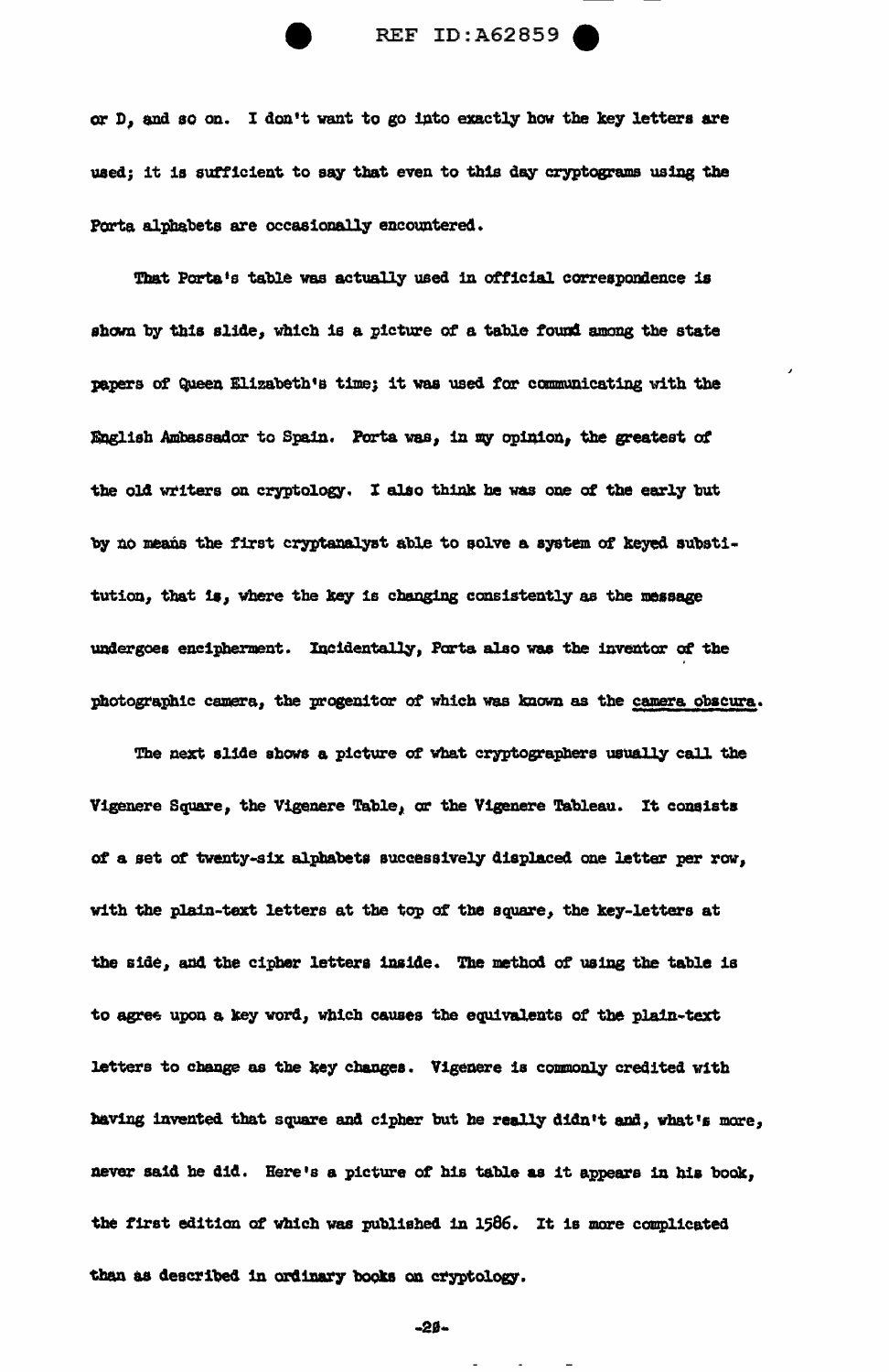

or D, and so on. I don't want to go into exactly how the key letters are used; it is sufficient to say that even to this day cryptograms using the Porta alphabets are occasionally encountered.

That Porta's table was actually used in official correspondence is shown by this slide, which is a picture of a table found among the state papers of Queen Elizabeth's time; it was used for communicating with the English Ambassador to Spain. Porta was, in my opinion, the greatest of the old writers on cryptology. I also think he was one of the early but by no means the first cryptanalyst able to solve a system of keyed substitution, that is, where the key is changing consistently as the message undergoes encipherment. Incidentally, Porta also was the inventor of the photographic camera, the progenitor of which was known as the camera obscura.

The next slide shows a picture of what cryptographers usually call the Vigenere Square, the Vigenere Table, or the Vigenere Tableau. It consists of a set of twenty-six alphabets successively displaced one letter per row, with the plain-text letters at the top of the square, the key-letters at the side, and the cipher letters inside. The method of using the table is to agree upon a key word, which causes the equivalents of the plain-text letters to change as the key changes. Vigenere is commonly credited with having invented that square and cipher but he really didn't and, what's more, never said he did. Here's a picture of his table as it appears in his book, the first edition of which was published in 1586. It is more complicated than as described in ordinary books on cryptology.

 $-20-$ 

 $\frac{1}{2} \left( \left( \begin{array}{cc} 1 & 0 & 0 \\ 0 & 0 & 0 \\ 0 & 0 & 0 \\ 0 & 0 & 0 \\ 0 & 0 & 0 \\ 0 & 0 & 0 \\ 0 & 0 & 0 \\ 0 & 0 & 0 \\ 0 & 0 & 0 \\ 0 & 0 & 0 \\ 0 & 0 & 0 \\ 0 & 0 & 0 & 0 \\ 0 & 0 & 0 & 0 \\ 0 & 0 & 0 & 0 \\ 0 & 0 & 0 & 0 & 0 \\ 0 & 0 & 0 & 0 & 0 \\ 0 & 0 & 0 & 0 & 0 \\ 0 & 0 & 0 & 0 & 0 \\ 0 & 0$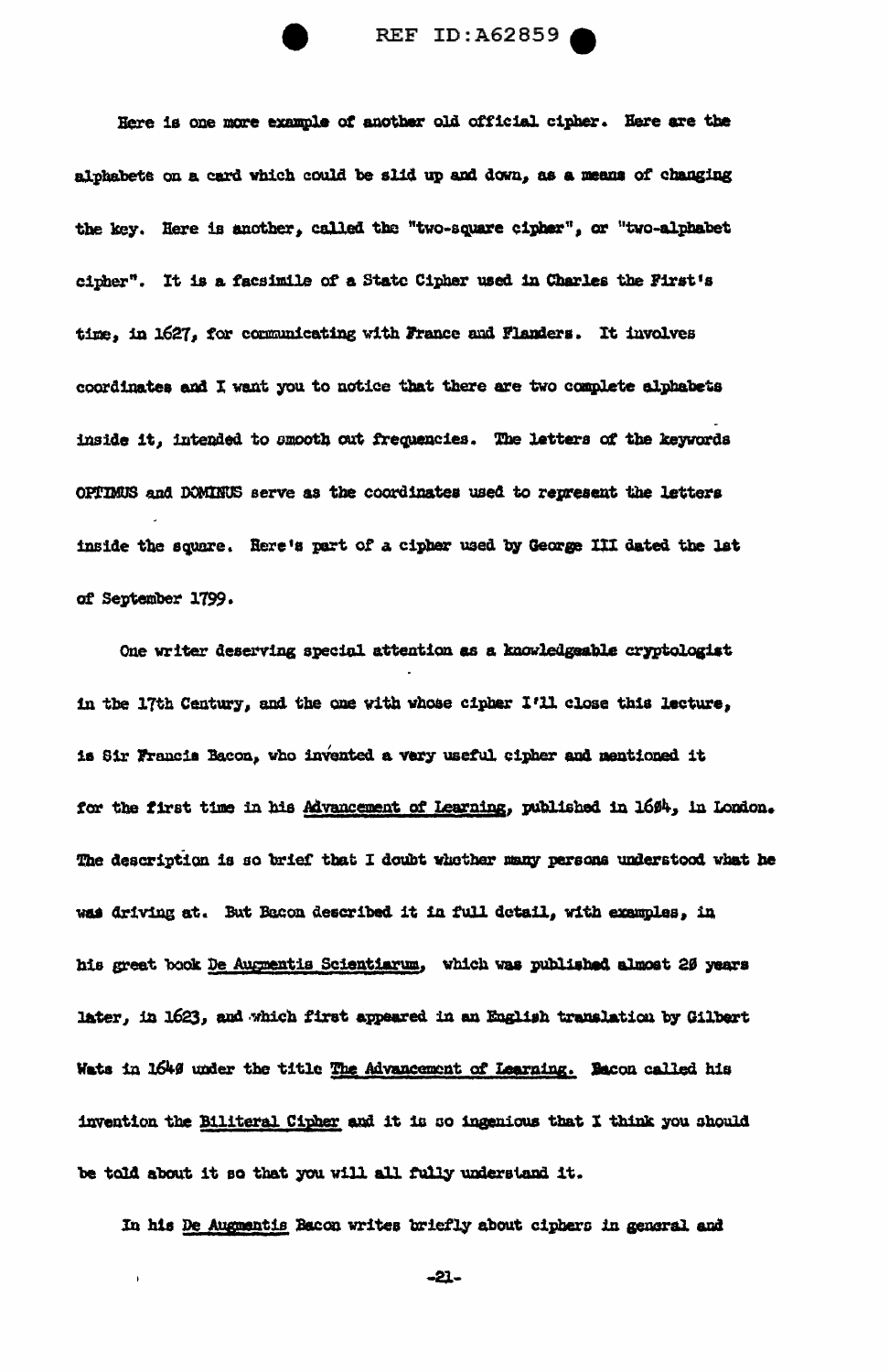Here is one more example of another old official cipher. Here are the alphabets on a card which could be slid up and down, as a means of changing the key. Here is another, called the "two-square cipher", or "two-alphabet cipher". It is a facsimile of a State Cipher used in Charles the First's time, in 1627, for communicating with France and Flanders. It involves coordinates and I want you to notice that there are two complete alphabets inside it, intended to smooth out frequencies. The letters of the keywords OPTIMUS and DOMINUS serve as the coordinates used to represent the letters inside the square. Here's part of a cipher used by George III dated the lat of September 1799.

One writer deserving special attention as a knowledgeable cryptologist in the 17th Century, and the one with whose cipher I'll close this lecture, is Sir Francis Bacon, who invented a very useful cipher and mentioned it for the first time in his Advancement of Learning, published in 1694, in London. The description is so brief that I doubt whether many persons understood what he was driving at. But Bacon described it in full detail, with examples, in his great book De Augmentis Scientiarum, which was published almost 20 years later, in 1623, and which first appeared in an English translation by Gilbert Wats in 1649 under the title The Advancement of Learning. Bacon called his invention the Biliteral Cipher and it is so ingenious that I think you should be told about it so that you will all fully understand it.

In his De Augmentis Bacon writes briefly about ciphers in general and

 $\ddot{\phantom{0}}$ 

 $-21-$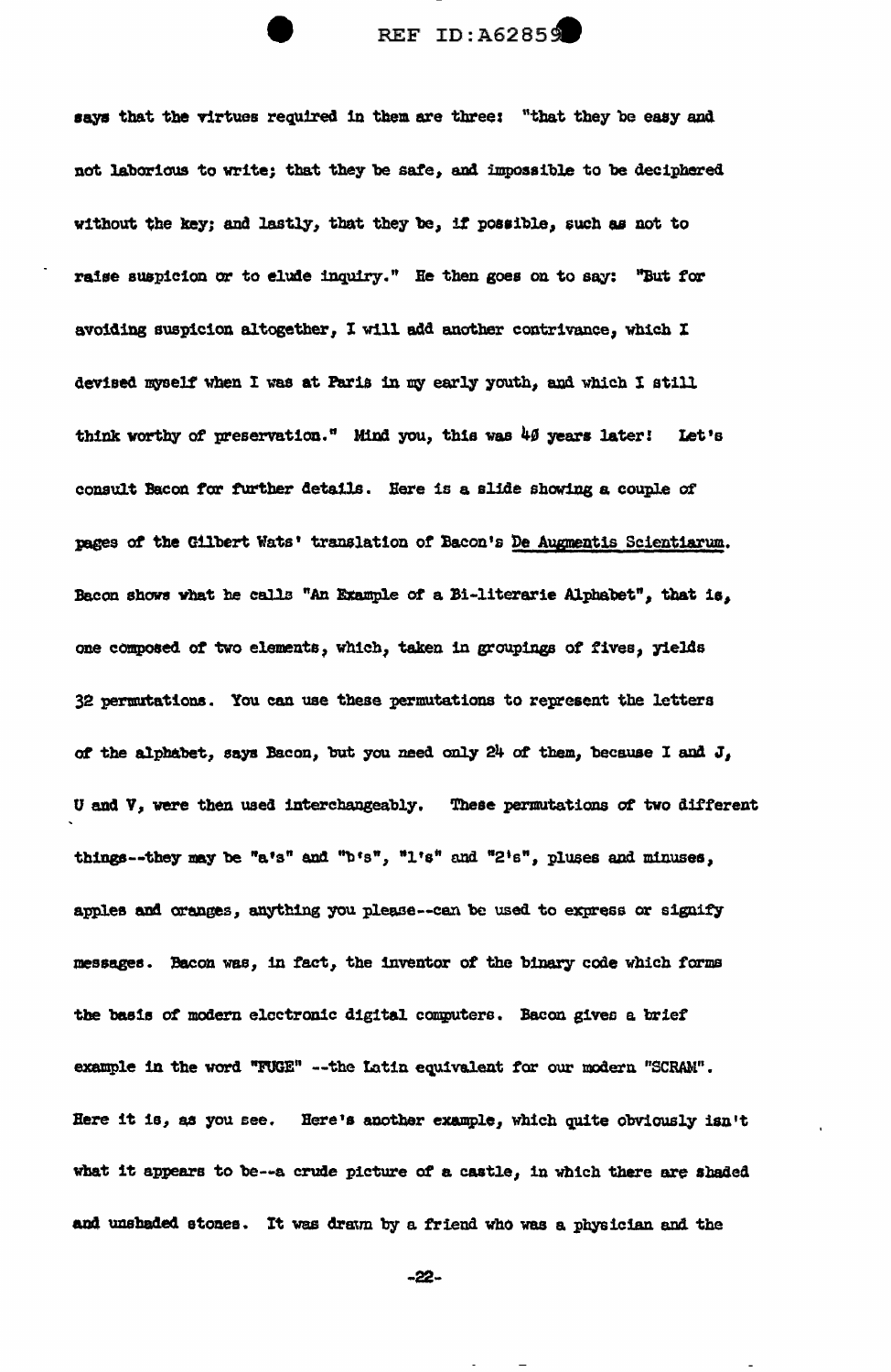says that the virtues required in them are three: "that they be easy and not laborious to write; that they be safe, and impossible to be deciphered without the key; and lastly, that they be, if possible, such as not to raise suspicion or to elude inquiry." He then goes on to say: "But for avoiding suspicion altogether, I will add another contrivance, which I devised myself when I was at Paris in my early youth, and which I still think worthy of preservation." Mind you, this was 40 years later! Let's consult Bacon for further details. Here is a slide showing a couple of pages of the Gilbert Wats' translation of Bacon's De Augmentis Scientiarum. Bacon shows what he calls "An Example of a Bi-literarie Alphabet", that is, one composed of two elements, which, taken in groupings of fives, yields 32 permutations. You can use these permutations to represent the letters of the alphabet, says Bacon, but you need only 24 of them, because I and J, U and V, were then used interchangeably. These permutations of two different things--they may be "a's" and "b's", "l's" and "2's", pluses and minuses, apples and oranges, anything you please--can be used to express or signify messages. Bacon was, in fact, the inventor of the binary code which forms the basis of modern electronic digital computers. Bacon gives a brief example in the word "FUGE" -- the Latin equivalent for our modern "SCRAM". Here it is, as you see. Here's another example, which quite obviously isn't what it appears to be--a crude picture of a castle, in which there are shaded and unshaded stones. It was drawn by a friend who was a physician and the

 $-22-$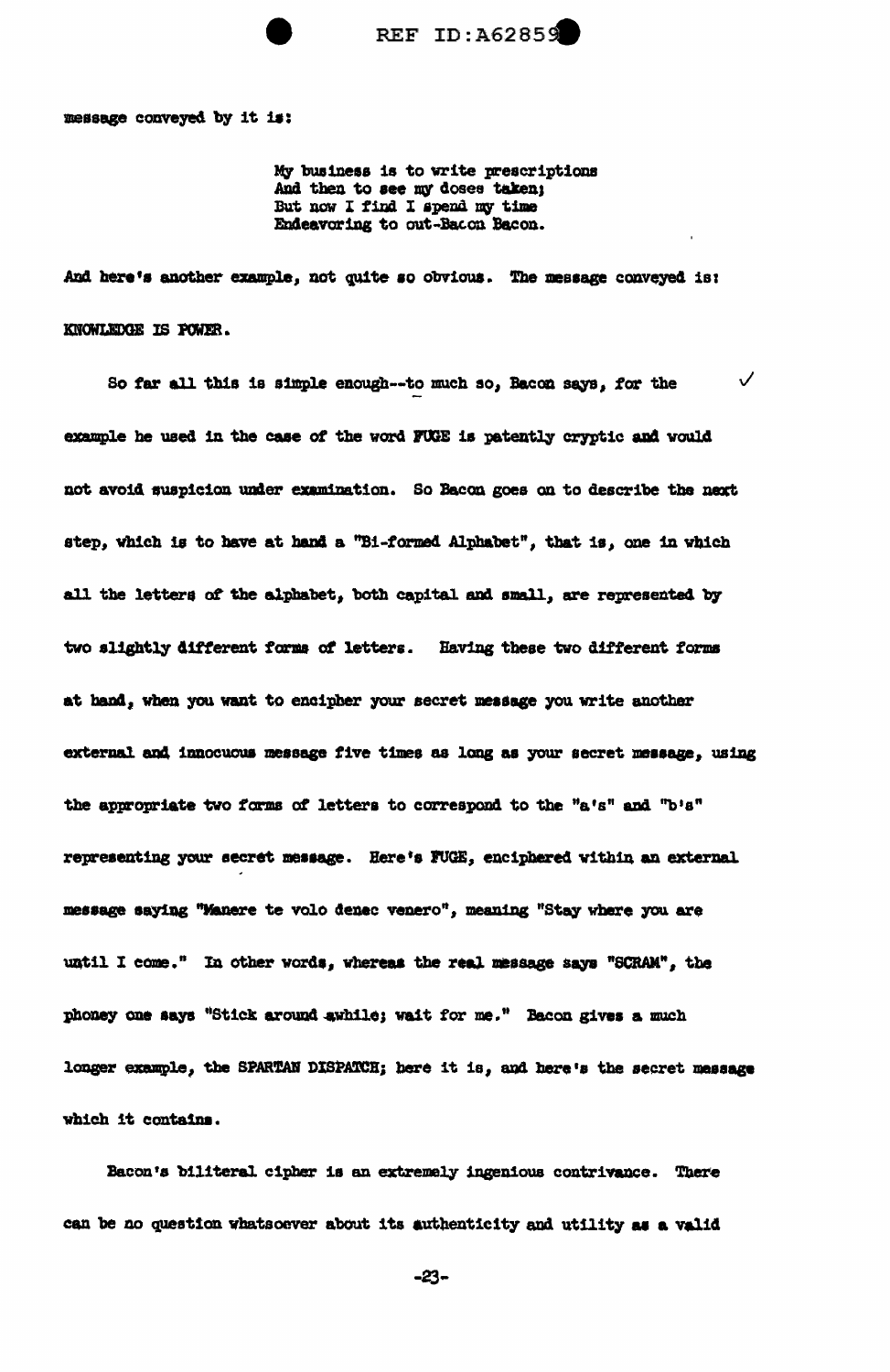

message conveyed by it is:

My business is to write prescriptions And then to see my doses taken: But now I find I spend my time Endeavoring to out-Bacon Bacon.

And here's another example, not quite so obvious. The message conveyed is: KNOWLEDGE IS POWER.

 $\checkmark$ So far all this is simple enough--to much so, Bacon says, for the example he used in the case of the word FUGE is patently cryptic and would not avoid suspicion under examination. So Bacon goes on to describe the next step, which is to have at hand a "Bi-formed Alphabet", that is, one in which all the letters of the alphabet, both capital and small, are represented by two slightly different forms of letters. Having these two different forms at hand, when you want to encipher your secret message you write another external and innocuous message five times as long as your secret message, using the appropriate two forms of letters to correspond to the "a's" and "b's" representing your secret message. Here's FUGE, enciphered within an external message saying "Manere te volo denec venero", meaning "Stay where you are until I come." In other words, whereas the real message says "SCRAM", the phoney one says "Stick around swhile; wait for me." Bacon gives a much longer example, the SPARTAN DISPATCH; here it is, and here's the secret message which it contains.

Bacon's biliteral cipher is an extremely ingenious contrivance. There can be no question whatsoever about its authenticity and utility as a valid

 $-23-$